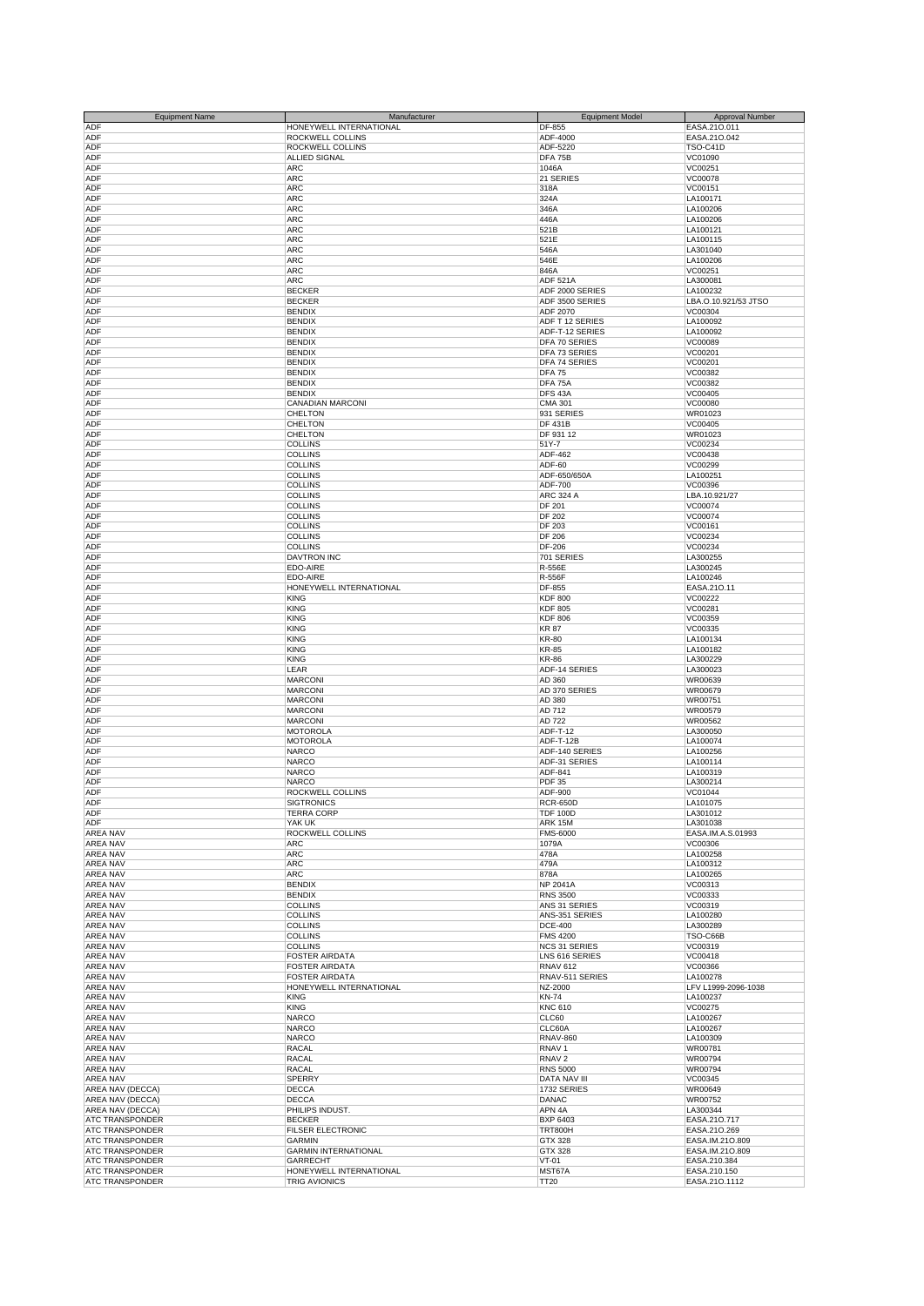| <b>Equipment Name</b>  | Manufacturer                | <b>Equipment Model</b> | Approval Number      |
|------------------------|-----------------------------|------------------------|----------------------|
| ADF                    | HONEYWELL INTERNATIONAL     | DF-855                 | EASA.210.011         |
| ADF                    | ROCKWELL COLLINS            | ADF-4000               | EASA.210.042         |
| ADF                    | <b>ROCKWELL COLLINS</b>     | ADF-5220               | TSO-C41D             |
| ADF                    | ALLIED SIGNAL               | DFA 75B                | VC01090              |
| ADF                    | ARC                         | 1046A                  | VC00251              |
| ADF                    | <b>ARC</b>                  | 21 SERIES              | VC00078              |
| ADF                    | <b>ARC</b>                  | 318A                   | VC00151              |
| ADF                    | <b>ARC</b>                  | 324A                   | LA100171             |
| ADF                    | <b>ARC</b>                  | 346A                   | LA100206             |
| ADF                    | <b>ARC</b>                  | 446A                   | LA100206             |
|                        |                             |                        |                      |
| ADF                    | ARC                         | 521B                   | LA100121             |
| ADF                    | <b>ARC</b>                  | 521E                   | LA100115             |
| ADF                    | <b>ARC</b>                  | 546A                   | LA301040             |
| ADF                    | <b>ARC</b>                  | 546E                   | LA100206             |
| ADF                    | <b>ARC</b>                  | 846A                   | VC00251              |
| ADF                    | <b>ARC</b>                  | <b>ADF 521A</b>        | LA300081             |
| ADF                    | <b>BECKER</b>               | ADF 2000 SERIES        | LA100232             |
| ADF                    | <b>BECKER</b>               | ADF 3500 SERIES        | LBA.O.10.921/53 JTSO |
| ADF                    | <b>BENDIX</b>               | ADF 2070               | VC00304              |
| ADF                    | <b>BENDIX</b>               | ADF T 12 SERIES        | LA100092             |
| ADF                    | <b>BENDIX</b>               | ADF-T-12 SERIES        | LA100092             |
| ADF                    | <b>BENDIX</b>               | DFA 70 SERIES          | VC00089              |
| ADF                    | <b>BENDIX</b>               | DFA 73 SERIES          | VC00201              |
| ADF                    | <b>BENDIX</b>               | DFA 74 SERIES          | VC00201              |
| ADF                    | <b>BENDIX</b>               | <b>DFA 75</b>          | VC00382              |
| ADF                    | <b>BENDIX</b>               | DFA 75A                | VC00382              |
| ADF                    | <b>BENDIX</b>               | DFS 43A                | VC00405              |
| ADF                    | CANADIAN MARCONI            | <b>CMA 301</b>         | VC00080              |
| ADF                    | <b>CHELTON</b>              | 931 SERIES             | WR01023              |
| ADF                    | <b>CHELTON</b>              | <b>DF 431B</b>         | VC00405              |
| ADF                    | <b>CHELTON</b>              | DF 931 12              | WR01023              |
| ADF                    | <b>COLLINS</b>              | 51Y-7                  | VC00234              |
| ADF                    | <b>COLLINS</b>              | ADF-462                | VC00438              |
|                        |                             |                        |                      |
| ADF                    | <b>COLLINS</b>              | ADF-60                 | VC00299              |
| ADF                    | <b>COLLINS</b>              | ADF-650/650A           | LA100251             |
| ADF                    | <b>COLLINS</b>              | ADF-700                | VC00396              |
| ADF                    | <b>COLLINS</b>              | <b>ARC 324 A</b>       | LBA.10.921/27        |
| ADF                    | <b>COLLINS</b>              | DF 201                 | VC00074              |
| ADF                    | <b>COLLINS</b>              | <b>DF 202</b>          | VC00074              |
| ADF                    | <b>COLLINS</b>              | DF 203                 | VC00161              |
| ADF                    | <b>COLLINS</b>              | <b>DF 206</b>          | VC00234              |
| ADF                    | <b>COLLINS</b>              | DF-206                 | VC00234              |
| ADF                    | <b>DAVTRON INC</b>          | 701 SERIES             | LA300255             |
| ADF                    | EDO-AIRE                    | R-556E                 | LA300245             |
| ADF                    | EDO-AIRE                    | R-556F                 | LA100246             |
| ADF                    | HONEYWELL INTERNATIONAL     | DF-855                 | EASA.210.11          |
| ADF                    | <b>KING</b>                 | <b>KDF 800</b>         | VC00222              |
|                        |                             |                        |                      |
| ADF                    | <b>KING</b>                 | <b>KDF 805</b>         | VC00281              |
| ADF                    | <b>KING</b>                 | <b>KDF 806</b>         | VC00359              |
| ADF                    | <b>KING</b>                 | <b>KR 87</b>           | VC00335              |
| ADF                    | <b>KING</b>                 | <b>KR-80</b>           | LA100134             |
| ADF                    | <b>KING</b>                 | <b>KR-85</b>           | LA100182             |
| ADF                    | <b>KING</b>                 | <b>KR-86</b>           | LA300229             |
| ADF                    | LEAR                        | ADF-14 SERIES          | LA300023             |
| ADF                    | <b>MARCONI</b>              | AD 360                 | WR00639              |
| ADF                    | <b>MARCONI</b>              | AD 370 SERIES          | WR00679              |
| ADF                    | <b>MARCONI</b>              | AD 380                 | WR00751              |
| ADF                    | <b>MARCONI</b>              | AD 712                 | WR00579              |
| ADF                    | <b>MARCONI</b>              | AD 722                 | WR00562              |
| ADF                    | <b>MOTOROLA</b>             | ADF-T-12               | LA300050             |
| ADF                    | <b>MOTOROLA</b>             | ADF-T-12B              | LA100074             |
| ADF                    | <b>NARCO</b>                | ADF-140 SERIES         | LA100256             |
| ADF                    |                             |                        |                      |
|                        | <b>NARCO</b>                | ADF-31 SERIES          | LA100114             |
| ADF                    | <b>NARCO</b>                | ADF-841                | LA100319             |
| ADF                    | <b>NARCO</b>                | <b>PDF 35</b>          | LA300214             |
| ADF                    | ROCKWELL COLLINS            | ADF-900                | VC01044              |
| <b>ADF</b>             | <b>SIGTRONICS</b>           | <b>RCR-650D</b>        | LA101075             |
| ADF                    | <b>TERRA CORP</b>           | <b>TDF 100D</b>        | LA301012             |
| <b>ADF</b>             | YAK UK                      | ARK 15M                | LA301038             |
| <b>AREA NAV</b>        | ROCKWELL COLLINS            | <b>FMS-6000</b>        | EASA.IM.A.S.01993    |
| <b>AREA NAV</b>        | ARC                         | 1079A                  | VC00306              |
| AREA NAV               | <b>ARC</b>                  | 478A                   | LA100258             |
| AREA NAV               | <b>ARC</b>                  | 479A                   | LA100312             |
| AREA NAV               | <b>ARC</b>                  | 878A                   | LA100265             |
| AREA NAV               | <b>BENDIX</b>               | <b>NP 2041A</b>        | VC00313              |
| AREA NAV               | <b>BENDIX</b>               | <b>RNS 3500</b>        | VC00333              |
| AREA NAV               | <b>COLLINS</b>              | ANS 31 SERIES          | VC00319              |
| AREA NAV               | <b>COLLINS</b>              | ANS-351 SERIES         | LA100280             |
| <b>AREA NAV</b>        | <b>COLLINS</b>              | <b>DCE-400</b>         | LA300289             |
| <b>AREA NAV</b>        | <b>COLLINS</b>              | <b>FMS 4200</b>        | TSO-C66B             |
|                        |                             |                        |                      |
| <b>AREA NAV</b>        | <b>COLLINS</b>              | <b>NCS 31 SERIES</b>   | VC00319              |
| AREA NAV               | <b>FOSTER AIRDATA</b>       | LNS 616 SERIES         | VC00418              |
| AREA NAV               | <b>FOSTER AIRDATA</b>       | <b>RNAV 612</b>        | VC00366              |
| AREA NAV               | <b>FOSTER AIRDATA</b>       | RNAV-511 SERIES        | LA100278             |
| AREA NAV               | HONEYWELL INTERNATIONAL     | NZ-2000                | LFV L1999-2096-1038  |
| AREA NAV               | <b>KING</b>                 | <b>KN-74</b>           | LA100237             |
| AREA NAV               | <b>KING</b>                 | <b>KNC 610</b>         | VC00275              |
| AREA NAV               | <b>NARCO</b>                | CLC60                  | LA100267             |
| <b>AREA NAV</b>        | <b>NARCO</b>                | CLC60A                 | LA100267             |
| <b>AREA NAV</b>        | <b>NARCO</b>                | <b>RNAV-860</b>        | LA100309             |
| <b>AREA NAV</b>        | <b>RACAL</b>                | RNAV <sub>1</sub>      | WR00781              |
| AREA NAV               | <b>RACAL</b>                | RNAV <sub>2</sub>      | WR00794              |
| AREA NAV               | <b>RACAL</b>                | <b>RNS 5000</b>        | WR00794              |
| <b>AREA NAV</b>        |                             | DATA NAV III           |                      |
|                        | <b>SPERRY</b>               |                        | VC00345              |
| AREA NAV (DECCA)       | <b>DECCA</b>                | 1732 SERIES            | WR00649              |
| AREA NAV (DECCA)       | <b>DECCA</b>                | DANAC                  | WR00752              |
| AREA NAV (DECCA)       | PHILIPS INDUST.             | APN 4A                 | LA300344             |
| <b>ATC TRANSPONDER</b> | <b>BECKER</b>               | <b>BXP 6403</b>        | EASA.210.717         |
| <b>ATC TRANSPONDER</b> | <b>FILSER ELECTRONIC</b>    | <b>TRT800H</b>         | EASA.21O.269         |
| <b>ATC TRANSPONDER</b> | <b>GARMIN</b>               | GTX 328                | EASA.IM.21O.809      |
| ATC TRANSPONDER        |                             |                        |                      |
|                        | <b>GARMIN INTERNATIONAL</b> | GTX 328                | EASA.IM.21O.809      |
| ATC TRANSPONDER        | <b>GARRECHT</b>             | $VT-01$                | EASA.210.384         |
| <b>ATC TRANSPONDER</b> | HONEYWELL INTERNATIONAL     | MST67A                 | EASA.210.150         |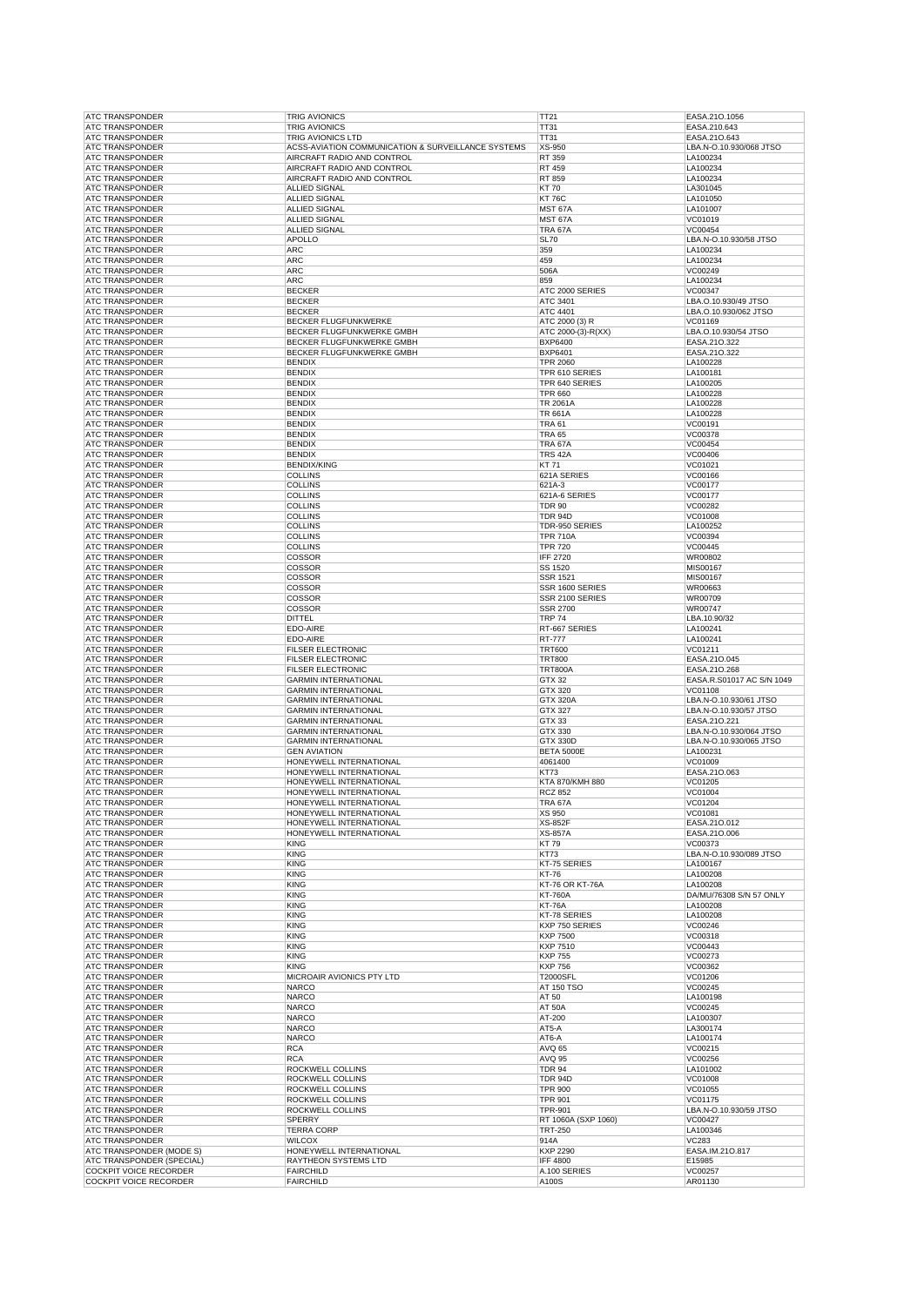| <b>ATC TRANSPONDER</b>                                  | <b>TRIG AVIONICS</b>                               | TT21                  | EASA.210.1056             |
|---------------------------------------------------------|----------------------------------------------------|-----------------------|---------------------------|
| <b>ATC TRANSPONDER</b>                                  | <b>TRIG AVIONICS</b>                               | TT31                  | EASA.210.643              |
| <b>ATC TRANSPONDER</b>                                  | <b>TRIG AVIONICS LTD</b>                           | <b>TT31</b>           | EASA.210.643              |
| <b>ATC TRANSPONDER</b>                                  | ACSS-AVIATION COMMUNICATION & SURVEILLANCE SYSTEMS | $XS-950$              | LBA.N-O.10.930/068 JTSO   |
| <b>ATC TRANSPONDER</b>                                  | AIRCRAFT RADIO AND CONTROL                         | RT 359                | LA100234                  |
| <b>ATC TRANSPONDER</b>                                  | AIRCRAFT RADIO AND CONTROL                         | RT 459                | LA100234                  |
| <b>ATC TRANSPONDER</b>                                  | AIRCRAFT RADIO AND CONTROL                         | RT 859                | LA100234                  |
| <b>ATC TRANSPONDER</b>                                  | ALLIED SIGNAL                                      | <b>KT70</b>           | LA301045                  |
| <b>ATC TRANSPONDER</b>                                  | ALLIED SIGNAL                                      | <b>KT 76C</b>         | LA101050                  |
| <b>ATC TRANSPONDER</b>                                  | <b>ALLIED SIGNAL</b>                               | MST 67A               | LA101007                  |
|                                                         | ALLIED SIGNAL                                      |                       |                           |
| <b>ATC TRANSPONDER</b>                                  |                                                    | MST 67A               | VC01019                   |
| <b>ATC TRANSPONDER</b>                                  | ALLIED SIGNAL                                      | TRA 67A               | VC00454                   |
| <b>ATC TRANSPONDER</b>                                  | <b>APOLLO</b>                                      | <b>SL70</b>           | LBA.N-O.10.930/58 JTSO    |
| <b>ATC TRANSPONDER</b>                                  | <b>ARC</b>                                         | 359                   | LA100234                  |
| <b>ATC TRANSPONDER</b>                                  | <b>ARC</b>                                         | 459                   | LA100234                  |
| <b>ATC TRANSPONDER</b>                                  | <b>ARC</b>                                         | 506A                  | VC00249                   |
| <b>ATC TRANSPONDER</b>                                  | <b>ARC</b>                                         | 859                   | LA100234                  |
| <b>ATC TRANSPONDER</b>                                  | <b>BECKER</b>                                      | ATC 2000 SERIES       | VC00347                   |
| <b>ATC TRANSPONDER</b>                                  | <b>BECKER</b>                                      | ATC 3401              | LBA.O.10.930/49 JTSO      |
| <b>ATC TRANSPONDER</b>                                  | <b>BECKER</b>                                      | <b>ATC 4401</b>       | LBA.O.10.930/062 JTSO     |
| <b>ATC TRANSPONDER</b>                                  | <b>BECKER FLUGFUNKWERKE</b>                        | ATC 2000 (3) R        | VC01169                   |
| <b>ATC TRANSPONDER</b>                                  | BECKER FLUGFUNKWERKE GMBH                          | ATC 2000-(3)-R(XX)    | LBA.O.10.930/54 JTSO      |
| <b>ATC TRANSPONDER</b>                                  | BECKER FLUGFUNKWERKE GMBH                          | <b>BXP6400</b>        | EASA.21O.322              |
|                                                         |                                                    | <b>BXP6401</b>        |                           |
| <b>ATC TRANSPONDER</b>                                  | BECKER FLUGFUNKWERKE GMBH                          |                       | EASA.210.322              |
| <b>ATC TRANSPONDER</b>                                  | <b>BENDIX</b>                                      | <b>TPR 2060</b>       | LA100228                  |
| <b>ATC TRANSPONDER</b>                                  | <b>BENDIX</b>                                      | TPR 610 SERIES        | LA100181                  |
| <b>ATC TRANSPONDER</b>                                  | <b>BENDIX</b>                                      | TPR 640 SERIES        | LA100205                  |
| <b>ATC TRANSPONDER</b>                                  | <b>BENDIX</b>                                      | <b>TPR 660</b>        | LA100228                  |
| <b>ATC TRANSPONDER</b>                                  | <b>BENDIX</b>                                      | <b>TR 2061A</b>       | LA100228                  |
| <b>ATC TRANSPONDER</b>                                  | <b>BENDIX</b>                                      | TR 661A               | LA100228                  |
| <b>ATC TRANSPONDER</b>                                  | <b>BENDIX</b>                                      | <b>TRA 61</b>         | VC00191                   |
| <b>ATC TRANSPONDER</b>                                  | <b>BENDIX</b>                                      | <b>TRA 65</b>         | VC00378                   |
| <b>ATC TRANSPONDER</b>                                  | <b>BENDIX</b>                                      | TRA 67A               | VC00454                   |
| <b>ATC TRANSPONDER</b>                                  | <b>BENDIX</b>                                      | TRS 42A               | VC00406                   |
| <b>ATC TRANSPONDER</b>                                  | <b>BENDIX/KING</b>                                 | KT 71                 | VC01021                   |
|                                                         |                                                    |                       |                           |
| <b>ATC TRANSPONDER</b>                                  | <b>COLLINS</b>                                     | 621A SERIES           | VC00166                   |
| <b>ATC TRANSPONDER</b>                                  | <b>COLLINS</b>                                     | 621A-3                | VC00177                   |
| <b>ATC TRANSPONDER</b>                                  | <b>COLLINS</b>                                     | 621A-6 SERIES         | VC00177                   |
| <b>ATC TRANSPONDER</b>                                  | <b>COLLINS</b>                                     | <b>TDR 90</b>         | VC00282                   |
| <b>ATC TRANSPONDER</b>                                  | <b>COLLINS</b>                                     | <b>TDR 94D</b>        | VC01008                   |
| <b>ATC TRANSPONDER</b>                                  | <b>COLLINS</b>                                     | TDR-950 SERIES        | LA100252                  |
| <b>ATC TRANSPONDER</b>                                  | <b>COLLINS</b>                                     | <b>TPR 710A</b>       | VC00394                   |
| <b>ATC TRANSPONDER</b>                                  | <b>COLLINS</b>                                     | <b>TPR 720</b>        | VC00445                   |
| <b>ATC TRANSPONDER</b>                                  | COSSOR                                             | <b>IFF 2720</b>       | WR00802                   |
| <b>ATC TRANSPONDER</b>                                  | <b>COSSOR</b>                                      | SS 1520               | MIS00167                  |
| <b>ATC TRANSPONDER</b>                                  | COSSOR                                             | SSR 1521              | MIS00167                  |
| <b>ATC TRANSPONDER</b>                                  | COSSOR                                             | SSR 1600 SERIES       | WR00663                   |
|                                                         |                                                    |                       |                           |
| <b>ATC TRANSPONDER</b>                                  | COSSOR                                             | SSR 2100 SERIES       | WR00709                   |
| <b>ATC TRANSPONDER</b>                                  | COSSOR                                             | SSR 2700              | WR00747                   |
| <b>ATC TRANSPONDER</b>                                  | <b>DITTEL</b>                                      | <b>TRP 74</b>         | LBA.10.90/32              |
| <b>ATC TRANSPONDER</b>                                  | EDO-AIRE                                           | RT-667 SERIES         | LA100241                  |
| <b>ATC TRANSPONDER</b>                                  | EDO-AIRE                                           | <b>RT-777</b>         | LA100241                  |
| <b>ATC TRANSPONDER</b>                                  | <b>FILSER ELECTRONIC</b>                           | <b>TRT600</b>         | VC01211                   |
| <b>ATC TRANSPONDER</b>                                  | <b>FILSER ELECTRONIC</b>                           | <b>TRT800</b>         | EASA.21O.045              |
| <b>ATC TRANSPONDER</b>                                  | <b>FILSER ELECTRONIC</b>                           | <b>TRT800A</b>        | EASA.21O.268              |
| <b>ATC TRANSPONDER</b>                                  | <b>GARMIN INTERNATIONAL</b>                        | GTX 32                | EASA.R.S01017 AC S/N 1049 |
|                                                         |                                                    |                       |                           |
|                                                         |                                                    |                       |                           |
| <b>ATC TRANSPONDER</b>                                  | <b>GARMIN INTERNATIONAL</b>                        | GTX 320               | VC01108                   |
| <b>ATC TRANSPONDER</b>                                  | <b>GARMIN INTERNATIONAL</b>                        | <b>GTX 320A</b>       | LBA.N-O.10.930/61 JTSO    |
| <b>ATC TRANSPONDER</b>                                  | <b>GARMIN INTERNATIONAL</b>                        | GTX 327               | LBA.N-O.10.930/57 JTSO    |
| <b>ATC TRANSPONDER</b>                                  | <b>GARMIN INTERNATIONAL</b>                        | GTX 33                | EASA.21O.221              |
| <b>ATC TRANSPONDER</b>                                  | <b>GARMIN INTERNATIONAL</b>                        | GTX 330               | LBA.N-O.10.930/064 JTSO   |
| <b>ATC TRANSPONDER</b>                                  | <b>GARMIN INTERNATIONAL</b>                        | <b>GTX 330D</b>       | LBA.N-O.10.930/065 JTSO   |
| <b>ATC TRANSPONDER</b>                                  | <b>GEN AVIATION</b>                                | <b>BETA 5000E</b>     | LA100231                  |
| <b>ATC TRANSPONDER</b>                                  | HONEYWELL INTERNATIONAL                            | 4061400               | VC01009                   |
| <b>ATC TRANSPONDER</b>                                  | HONEYWELL INTERNATIONAL                            | KT73                  | EASA.21O.063              |
|                                                         |                                                    |                       |                           |
| ATC TRANSPONDER                                         | HONEYWELL INTERNATIONAL                            | KTA 870/KMH 880       | VC01205                   |
| <b>ATC TRANSPONDER</b>                                  | HONEYWELL INTERNATIONAL                            | <b>RCZ 852</b>        | VC01004                   |
| <b>ATC TRANSPONDER</b>                                  | HONEYWELL INTERNATIONAL                            | <b>TRA 67A</b>        | VC01204                   |
| <b>ATC TRANSPONDER</b>                                  | HONEYWELL INTERNATIONAL                            | XS 950                | VC01081                   |
| <b>ATC TRANSPONDER</b>                                  | HONEYWELL INTERNATIONAL                            | <b>XS-852F</b>        | EASA.21O.012              |
| <b>ATC TRANSPONDER</b>                                  | HONEYWELL INTERNATIONAL                            | <b>XS-857A</b>        | EASA.21O.006              |
| <b>ATC TRANSPONDER</b>                                  | <b>KING</b>                                        | KT 79                 | VC00373                   |
| <b>ATC TRANSPONDER</b>                                  | <b>KING</b>                                        | KT73                  | LBA.N-O.10.930/089 JTSO   |
| <b>ATC TRANSPONDER</b>                                  | <b>KING</b>                                        | KT-75 SERIES          | LA100167                  |
| <b>ATC TRANSPONDER</b>                                  | <b>KING</b>                                        | KT-76                 | LA100208                  |
| <b>ATC TRANSPONDER</b>                                  | <b>KING</b>                                        | KT-76 OR KT-76A       | LA100208                  |
| <b>ATC TRANSPONDER</b>                                  | <b>KING</b>                                        | <b>KT-760A</b>        | DA/MU/76308 S/N 57 ONLY   |
| <b>ATC TRANSPONDER</b>                                  | <b>KING</b>                                        | <b>KT-76A</b>         | LA100208                  |
| <b>ATC TRANSPONDER</b>                                  | <b>KING</b>                                        | KT-78 SERIES          | LA100208                  |
| <b>ATC TRANSPONDER</b>                                  | <b>KING</b>                                        | KXP 750 SERIES        | VC00246                   |
| <b>ATC TRANSPONDER</b>                                  |                                                    | <b>KXP 7500</b>       | VC00318                   |
| <b>ATC TRANSPONDER</b>                                  | <b>KING</b><br><b>KING</b>                         | KXP 7510              | VC00443                   |
|                                                         |                                                    |                       |                           |
| <b>ATC TRANSPONDER</b>                                  | <b>KING</b>                                        | <b>KXP 755</b>        | VC00273                   |
| <b>ATC TRANSPONDER</b>                                  | <b>KING</b>                                        | <b>KXP 756</b>        | VC00362                   |
| <b>ATC TRANSPONDER</b>                                  | MICROAIR AVIONICS PTY LTD                          | <b>T2000SFL</b>       | VC01206                   |
| <b>ATC TRANSPONDER</b>                                  | <b>NARCO</b>                                       | <b>AT 150 TSO</b>     | VC00245                   |
| <b>ATC TRANSPONDER</b>                                  | <b>NARCO</b>                                       | AT 50                 | LA100198                  |
| <b>ATC TRANSPONDER</b>                                  | <b>NARCO</b>                                       | <b>AT 50A</b>         | VC00245                   |
| <b>ATC TRANSPONDER</b>                                  | <b>NARCO</b>                                       | AT-200                | LA100307                  |
| <b>ATC TRANSPONDER</b>                                  | <b>NARCO</b>                                       | AT5-A                 | LA300174                  |
| <b>ATC TRANSPONDER</b>                                  | <b>NARCO</b>                                       | AT6-A                 | LA100174                  |
| <b>ATC TRANSPONDER</b>                                  | <b>RCA</b>                                         | AVQ 65                | VC00215                   |
| <b>ATC TRANSPONDER</b>                                  | <b>RCA</b>                                         | <b>AVQ 95</b>         | VC00256                   |
| <b>ATC TRANSPONDER</b>                                  | ROCKWELL COLLINS                                   | <b>TDR 94</b>         | LA101002                  |
| <b>ATC TRANSPONDER</b>                                  | ROCKWELL COLLINS                                   | TDR 94D               | <b>VC01008</b>            |
|                                                         |                                                    |                       |                           |
| <b>ATC TRANSPONDER</b>                                  | ROCKWELL COLLINS                                   | <b>TPR 900</b>        | VC01055                   |
| <b>ATC TRANSPONDER</b>                                  | ROCKWELL COLLINS                                   | <b>TPR 901</b>        | VC01175                   |
| <b>ATC TRANSPONDER</b>                                  | ROCKWELL COLLINS                                   | <b>TPR-901</b>        | LBA.N-O.10.930/59 JTSO    |
| <b>ATC TRANSPONDER</b>                                  | <b>SPERRY</b>                                      | RT 1060A (SXP 1060)   | VC00427                   |
| <b>ATC TRANSPONDER</b>                                  | <b>TERRA CORP</b>                                  | <b>TRT-250</b>        | LA100346                  |
| <b>ATC TRANSPONDER</b>                                  | <b>WILCOX</b>                                      | 914A                  | VC283                     |
| ATC TRANSPONDER (MODE S)                                | HONEYWELL INTERNATIONAL                            | KXP 2290              | EASA.IM.210.817           |
| ATC TRANSPONDER (SPECIAL)                               | RAYTHEON SYSTEMS LTD                               | <b>IFF 4800</b>       | E15985                    |
| <b>COCKPIT VOICE RECORDER</b><br>COCKPIT VOICE RECORDER | <b>FAIRCHILD</b><br><b>FAIRCHILD</b>               | A.100 SERIES<br>A100S | VC00257<br>AR01130        |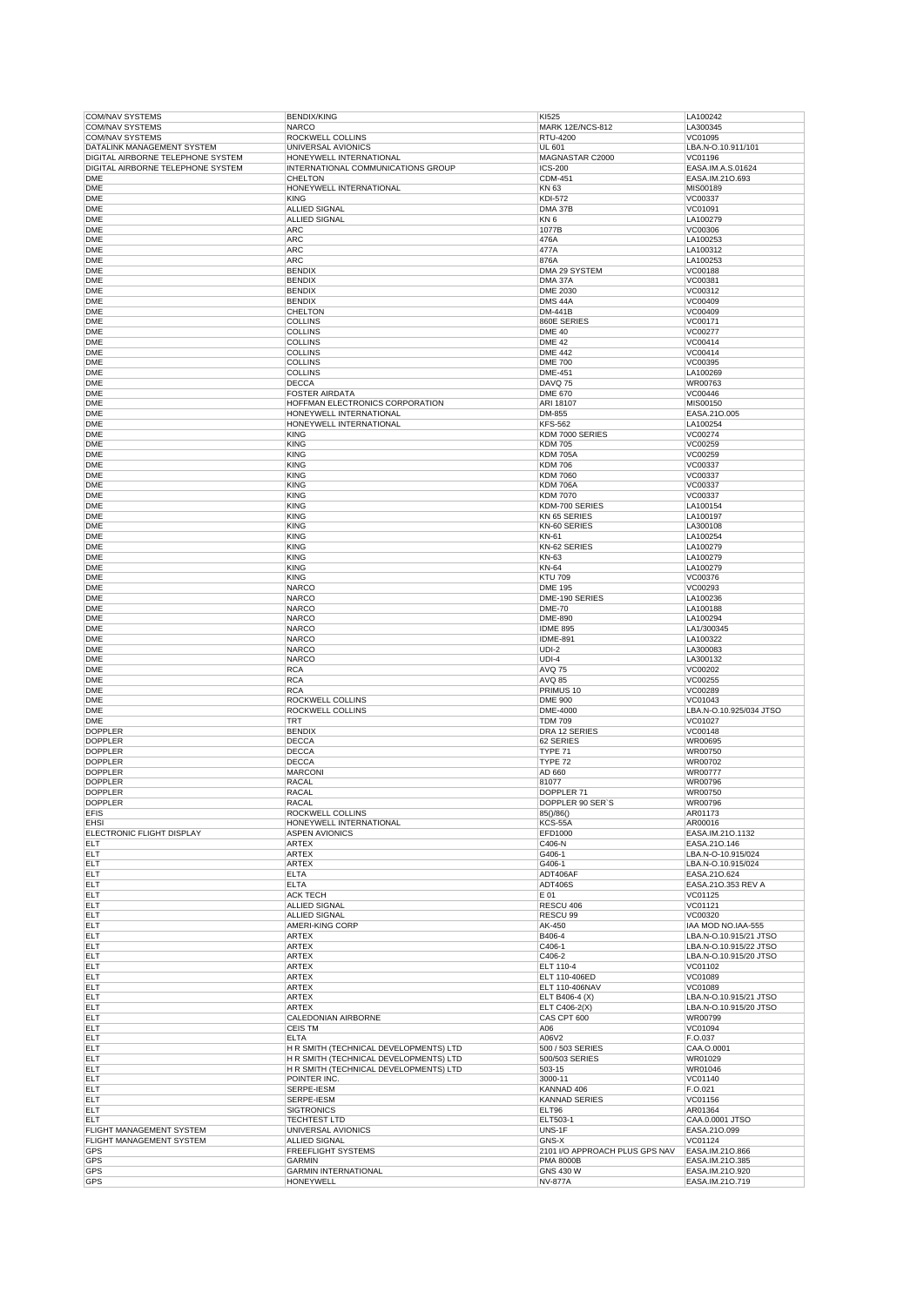| <b>COM/NAV SYSTEMS</b>            | <b>BENDIX/KING</b>                              | KI525                          | LA100242                           |
|-----------------------------------|-------------------------------------------------|--------------------------------|------------------------------------|
|                                   | <b>NARCO</b>                                    | <b>MARK 12E/NCS-812</b>        | LA300345                           |
| <b>COM/NAV SYSTEMS</b>            | ROCKWELL COLLINS                                | RTU-4200                       | VC01095                            |
| DATALINK MANAGEMENT SYSTEM        | UNIVERSAL AVIONICS                              | UL 601                         | LBA.N-O.10.911/101                 |
| DIGITAL AIRBORNE TELEPHONE SYSTEM | HONEYWELL INTERNATIONAL                         | MAGNASTAR C2000                | VC01196                            |
| DIGITAL AIRBORNE TELEPHONE SYSTEM | INTERNATIONAL COMMUNICATIONS GROUP              | <b>ICS-200</b>                 | EASA.IM.A.S.01624                  |
| <b>DME</b>                        | <b>CHELTON</b>                                  | CDM-451                        | EASA.IM.21O.693                    |
| DME                               | HONEYWELL INTERNATIONAL                         | KN 63                          | MIS00189                           |
| <b>DME</b>                        | <b>KING</b>                                     | <b>KDI-572</b>                 | VC00337                            |
|                                   |                                                 |                                |                                    |
| <b>DME</b>                        | ALLIED SIGNAL                                   | DMA 37B                        | VC01091                            |
| <b>DME</b>                        | <b>ALLIED SIGNAL</b>                            | KN <sub>6</sub>                | LA100279                           |
| <b>DME</b>                        | <b>ARC</b>                                      | 1077B                          | VC00306                            |
| <b>DME</b>                        | <b>ARC</b>                                      | 476A                           | LA100253                           |
| <b>DME</b>                        | <b>ARC</b>                                      | 477A                           | LA100312                           |
| <b>DME</b>                        | ARC                                             | 876A                           | LA100253                           |
|                                   | <b>BENDIX</b>                                   | DMA 29 SYSTEM                  |                                    |
| <b>DME</b>                        |                                                 |                                | VC00188                            |
| <b>DME</b>                        | <b>BENDIX</b>                                   | DMA 37A                        | VC00381                            |
| <b>DME</b>                        | <b>BENDIX</b>                                   | DME 2030                       | VC00312                            |
| <b>DME</b>                        | <b>BENDIX</b>                                   | DMS <sub>44A</sub>             | VC00409                            |
| <b>DME</b>                        | CHELTON                                         | DM-441B                        | VC00409                            |
| <b>DME</b>                        | <b>COLLINS</b>                                  | 860E SERIES                    | VC00171                            |
| <b>DME</b>                        | <b>COLLINS</b>                                  | <b>DME 40</b>                  | VC00277                            |
| <b>DME</b>                        | <b>COLLINS</b>                                  |                                |                                    |
|                                   |                                                 | <b>DME 42</b>                  | VC00414                            |
| <b>DME</b>                        | <b>COLLINS</b>                                  | <b>DME 442</b>                 | VC00414                            |
| <b>DME</b>                        | <b>COLLINS</b>                                  | <b>DME 700</b>                 | VC00395                            |
| <b>DME</b>                        | <b>COLLINS</b>                                  | <b>DME-451</b>                 | LA100269                           |
| <b>DME</b>                        | <b>DECCA</b>                                    | DAVQ 75                        | WR00763                            |
| <b>DME</b>                        | <b>FOSTER AIRDATA</b>                           | <b>DME 670</b>                 | VC00446                            |
| <b>DME</b>                        | HOFFMAN ELECTRONICS CORPORATION                 | ARI 18107                      | MIS00150                           |
|                                   |                                                 |                                |                                    |
| <b>DME</b>                        | HONEYWELL INTERNATIONAL                         | DM-855                         | EASA.21O.005                       |
| <b>DME</b>                        | HONEYWELL INTERNATIONAL                         | <b>KFS-562</b>                 | LA100254                           |
| <b>DME</b>                        | <b>KING</b>                                     | KDM 7000 SERIES                | VC00274                            |
| <b>DME</b>                        | KING                                            | <b>KDM705</b>                  | VC00259                            |
| <b>DME</b>                        | <b>KING</b>                                     | <b>KDM 705A</b>                | VC00259                            |
| <b>DME</b>                        | <b>KING</b>                                     | <b>KDM706</b>                  | VC00337                            |
| <b>DME</b>                        | <b>KING</b>                                     | <b>KDM 7060</b>                | VC00337                            |
| <b>DME</b>                        | <b>KING</b>                                     | <b>KDM 706A</b>                | VC00337                            |
|                                   |                                                 |                                |                                    |
| <b>DME</b>                        | <b>KING</b>                                     | <b>KDM 7070</b>                | VC00337                            |
| <b>DME</b>                        | <b>KING</b>                                     | KDM-700 SERIES                 | LA100154                           |
| <b>DME</b>                        | <b>KING</b>                                     | KN 65 SERIES                   | LA100197                           |
| <b>DME</b>                        | KING                                            | KN-60 SERIES                   | LA300108                           |
| <b>DME</b>                        | <b>KING</b>                                     | KN-61                          | LA100254                           |
| <b>DME</b>                        | KING                                            | KN-62 SERIES                   | LA100279                           |
|                                   | <b>KING</b>                                     |                                | LA100279                           |
| <b>DME</b>                        |                                                 | KN-63                          |                                    |
| <b>DME</b>                        | <b>KING</b>                                     | <b>KN-64</b>                   | LA100279                           |
| <b>DME</b>                        | KING                                            | <b>KTU 709</b>                 | VC00376                            |
| <b>DME</b>                        | <b>NARCO</b>                                    | <b>DME 195</b>                 | VC00293                            |
| <b>DME</b>                        | <b>NARCO</b>                                    | DME-190 SERIES                 | LA100236                           |
| <b>DME</b>                        | <b>NARCO</b>                                    | <b>DME-70</b>                  | LA100188                           |
| <b>DME</b>                        | <b>NARCO</b>                                    | <b>DME-890</b>                 | LA100294                           |
|                                   |                                                 |                                |                                    |
| <b>DME</b>                        | NARCO                                           | <b>IDME 895</b>                | LA1/300345                         |
| <b>DME</b>                        | <b>NARCO</b>                                    | <b>IDME-891</b>                | LA100322                           |
| <b>DME</b>                        | NARCO                                           | $UDI-2$                        | LA300083                           |
| <b>DME</b>                        | <b>NARCO</b>                                    | $UDI-4$                        | LA300132                           |
| <b>DME</b>                        | <b>RCA</b>                                      | <b>AVQ 75</b>                  | VC00202                            |
| <b>DME</b>                        | <b>RCA</b>                                      | AVQ 85                         | VC00255                            |
| <b>DME</b>                        | <b>RCA</b>                                      | PRIMUS 10                      | VC00289                            |
|                                   |                                                 |                                |                                    |
| <b>DME</b>                        | <b>ROCKWELL COLLINS</b>                         | <b>DME 900</b>                 | VC01043                            |
| <b>DME</b>                        | <b>ROCKWELL COLLINS</b>                         | DME-4000                       | LBA.N-O.10.925/034 JTSO            |
| <b>DME</b>                        | <b>TRT</b>                                      | <b>TDM 709</b>                 | VC01027                            |
| <b>DOPPLER</b>                    | <b>BENDIX</b>                                   | DRA 12 SERIES                  | VC00148                            |
| <b>DOPPLER</b>                    | <b>DECCA</b>                                    | 62 SERIES                      | WR00695                            |
| <b>DOPPLER</b>                    | DECCA                                           | TYPE 71                        | WR00750                            |
| <b>DOPPLER</b>                    | <b>DECCA</b>                                    |                                | WR00702                            |
|                                   |                                                 | TYPE 72                        |                                    |
|                                   |                                                 |                                |                                    |
| <b>DOPPLER</b>                    | <b>MARCONI</b>                                  | AD 660                         | WR00777                            |
| <b>DOPPLER</b>                    | RACAL                                           | 81077                          | WR00796                            |
| <b>DOPPLER</b>                    | <b>RACAL</b>                                    | DOPPLER 71                     | WR00750                            |
| <b>DOPPLER</b>                    | <b>RACAL</b>                                    | DOPPLER 90 SER'S               | WR00796                            |
|                                   |                                                 |                                |                                    |
| <b>EFIS</b>                       | ROCKWELL COLLINS                                | 85()/86()                      | AR01173                            |
| <b>EHSI</b>                       | HONEYWELL INTERNATIONAL                         | KCS-55A                        | AR00016                            |
| ELECTRONIC FLIGHT DISPLAY         | <b>ASPEN AVIONICS</b>                           | EFD1000                        | EASA.IM.21O.1132                   |
| <b>ELT</b>                        | <b>ARTEX</b>                                    | C406-N                         | EASA.21O.146                       |
| ELT                               | ARTEX                                           | G406-1                         | LBA.N-O-10.915/024                 |
| ELT                               | <b>ARTEX</b>                                    | G406-1                         | LBA.N-O.10.915/024                 |
| ELT                               | <b>ELTA</b>                                     | ADT406AF                       | EASA.21O.624                       |
| ELT                               | <b>ELTA</b>                                     | <b>ADT406S</b>                 | EASA.21O.353 REV A                 |
| ELT                               | <b>ACK TECH</b>                                 | E 01                           | VC01125                            |
| ELT                               | <b>ALLIED SIGNAL</b>                            | RESCU 406                      | VC01121                            |
|                                   |                                                 | RESCU 99                       |                                    |
| ELT                               | <b>ALLIED SIGNAL</b>                            |                                | VC00320                            |
| ELT                               | AMERI-KING CORP                                 | AK-450                         | IAA MOD NO.IAA-555                 |
| ELT                               | ARTEX                                           | B406-4                         | LBA.N-O.10.915/21 JTSO             |
| ELT                               | <b>ARTEX</b>                                    | C406-1                         | LBA.N-O.10.915/22 JTSO             |
| ELT                               | <b>ARTEX</b>                                    | C406-2                         | LBA.N-O.10.915/20 JTSO             |
| ELT                               | <b>ARTEX</b>                                    | ELT 110-4                      | VC01102                            |
| ELT                               | <b>ARTEX</b>                                    | ELT 110-406ED                  | VC01089                            |
| ELT                               | <b>ARTEX</b>                                    | ELT 110-406NAV                 | VC01089                            |
|                                   |                                                 |                                |                                    |
| ELT                               | <b>ARTEX</b>                                    | ELT B406-4 (X)                 | LBA.N-O.10.915/21 JTSO             |
| ELT                               | <b>ARTEX</b>                                    | ELT C406-2(X)                  | LBA.N-O.10.915/20 JTSO             |
| ELT                               | CALEDONIAN AIRBORNE                             | CAS CPT 600                    | WR00799                            |
| ELT                               | <b>CEIS TM</b>                                  | A06                            | VC01094                            |
| ELT                               | <b>ELTA</b>                                     | A06V2                          | F.O.037                            |
| ELT                               | H R SMITH (TECHNICAL DEVELOPMENTS) LTD          | 500 / 503 SERIES               | CAA.O.0001                         |
|                                   |                                                 |                                |                                    |
| ELT                               | H R SMITH (TECHNICAL DEVELOPMENTS) LTD          | 500/503 SERIES                 | WR01029                            |
| ELT                               | H R SMITH (TECHNICAL DEVELOPMENTS) LTD          | 503-15                         | WR01046                            |
| ELT                               | POINTER INC.                                    | 3000-11                        | VC01140                            |
| ELT                               | SERPE-IESM                                      | KANNAD 406                     | F.O.021                            |
| ELT                               | SERPE-IESM                                      | <b>KANNAD SERIES</b>           | VC01156                            |
| ELT                               | <b>SIGTRONICS</b>                               | ELT96                          | AR01364                            |
| ELT                               | <b>TECHTEST LTD</b>                             | ELT503-1                       | CAA.0.0001 JTSO                    |
|                                   |                                                 |                                |                                    |
| FLIGHT MANAGEMENT SYSTEM          | UNIVERSAL AVIONICS                              | UNS-1F                         | EASA.21O.099                       |
| FLIGHT MANAGEMENT SYSTEM          | <b>ALLIED SIGNAL</b>                            | GNS-X                          | VC01124                            |
| GPS                               | <b>FREEFLIGHT SYSTEMS</b>                       | 2101 I/O APPROACH PLUS GPS NAV | EASA.IM.21O.866                    |
| GPS                               | <b>GARMIN</b>                                   | <b>PMA 8000B</b>               | EASA.IM.21O.385                    |
| GPS<br>GPS                        | <b>GARMIN INTERNATIONAL</b><br><b>HONEYWELL</b> | GNS 430 W<br><b>NV-877A</b>    | EASA.IM.21O.920<br>EASA.IM.210.719 |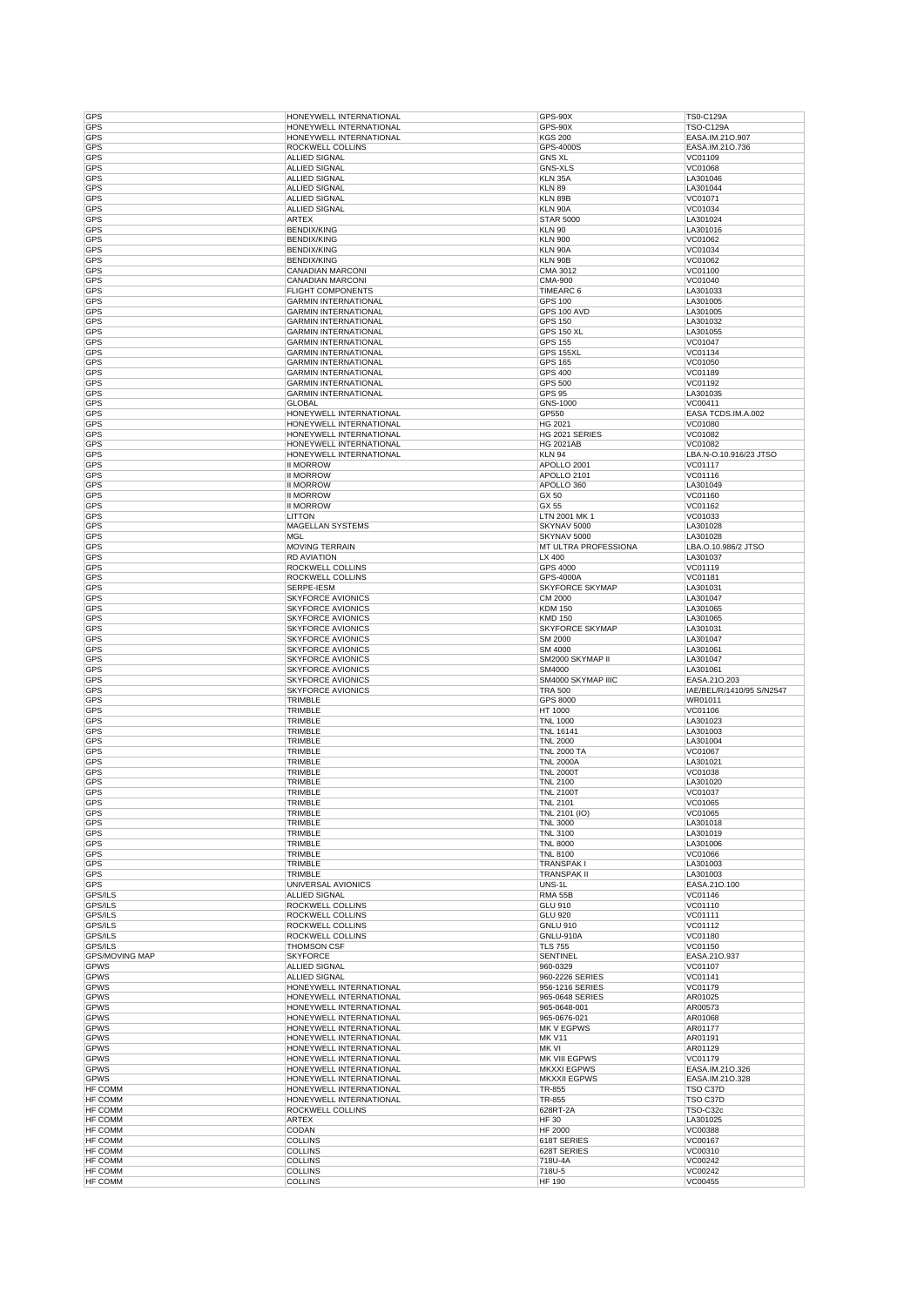| GPS                       | HONEYWELL INTERNATIONAL          | GPS-90X                | TS0-C129A                 |
|---------------------------|----------------------------------|------------------------|---------------------------|
| GPS                       | HONEYWELL INTERNATIONAL          | GPS-90X                | <b>TSO-C129A</b>          |
| GPS                       | HONEYWELL INTERNATIONAL          | <b>KGS 200</b>         | EASA.IM.21O.907           |
| <b>GPS</b>                | ROCKWELL COLLINS                 | GPS-4000S              | EASA.IM.21O.736           |
| GPS                       | <b>ALLIED SIGNAL</b>             | <b>GNS XL</b>          | VC01109                   |
|                           |                                  |                        |                           |
| GPS                       | <b>ALLIED SIGNAL</b>             | <b>GNS-XLS</b>         | VC01068                   |
| GPS                       | <b>ALLIED SIGNAL</b>             | KLN 35A                | LA301046                  |
| GPS                       | <b>ALLIED SIGNAL</b>             | <b>KLN 89</b>          | LA301044                  |
| GPS                       | <b>ALLIED SIGNAL</b>             | KLN 89B                | VC01071                   |
| GPS                       | <b>ALLIED SIGNAL</b>             | <b>KLN 90A</b>         | VC01034                   |
| GPS                       | <b>ARTEX</b>                     | <b>STAR 5000</b>       | LA301024                  |
| GPS                       | <b>BENDIX/KING</b>               | <b>KLN 90</b>          | LA301016                  |
| GPS                       | <b>BENDIX/KING</b>               | <b>KLN 900</b>         | VC01062                   |
| <b>GPS</b>                | <b>BENDIX/KING</b>               | KLN 90A                |                           |
|                           |                                  |                        | VC01034                   |
| GPS                       | <b>BENDIX/KING</b>               | KLN 90B                | VC01062                   |
| GPS                       | CANADIAN MARCONI                 | CMA 3012               | VC01100                   |
| GPS                       | CANADIAN MARCONI                 | <b>CMA-900</b>         | VC01040                   |
| GPS                       | <b>FLIGHT COMPONENTS</b>         | TIMEARC 6              | LA301033                  |
| GPS                       | <b>GARMIN INTERNATIONAL</b>      | <b>GPS 100</b>         | LA301005                  |
| GPS                       | <b>GARMIN INTERNATIONAL</b>      | <b>GPS 100 AVD</b>     | LA301005                  |
|                           |                                  |                        |                           |
| GPS                       | <b>GARMIN INTERNATIONAL</b>      | <b>GPS 150</b>         | LA301032                  |
| GPS                       | <b>GARMIN INTERNATIONAL</b>      | <b>GPS 150 XL</b>      | LA301055                  |
| GPS                       | <b>GARMIN INTERNATIONAL</b>      | <b>GPS 155</b>         | VC01047                   |
| <b>GPS</b>                | <b>GARMIN INTERNATIONAL</b>      | GPS 155XL              | VC01134                   |
| GPS                       | <b>GARMIN INTERNATIONAL</b>      | <b>GPS 165</b>         | VC01050                   |
| GPS                       | <b>GARMIN INTERNATIONAL</b>      | <b>GPS 400</b>         | VC01189                   |
| GPS                       |                                  | <b>GPS 500</b>         | VC01192                   |
|                           | <b>GARMIN INTERNATIONAL</b>      |                        |                           |
| GPS                       | <b>GARMIN INTERNATIONAL</b>      | <b>GPS 95</b>          | LA301035                  |
| GPS                       | <b>GLOBAL</b>                    | GNS-1000               | VC00411                   |
| GPS                       | HONEYWELL INTERNATIONAL          | GP550                  | EASA TCDS.IM.A.002        |
| GPS                       | HONEYWELL INTERNATIONAL          | HG 2021                | VC01080                   |
| GPS                       | HONEYWELL INTERNATIONAL          | HG 2021 SERIES         | VC01082                   |
| GPS                       | HONEYWELL INTERNATIONAL          | <b>HG 2021AB</b>       | VC01082                   |
| <b>GPS</b>                | HONEYWELL INTERNATIONAL          | <b>KLN 94</b>          | LBA.N-O.10.916/23 JTSO    |
|                           |                                  |                        |                           |
| GPS                       | <b>II MORROW</b>                 | APOLLO 2001            | VC01117                   |
| GPS                       | <b>II MORROW</b>                 | APOLLO 2101            | VC01116                   |
| GPS                       | <b>II MORROW</b>                 | APOLLO 360             | LA301049                  |
| GPS                       | <b>II MORROW</b>                 | GX 50                  | VC01160                   |
| GPS                       | <b>II MORROW</b>                 | GX 55                  | VC01162                   |
| GPS                       | <b>LITTON</b>                    | LTN 2001 MK 1          | VC01033                   |
| GPS                       |                                  |                        | LA301028                  |
|                           | MAGELLAN SYSTEMS                 | SKYNAV 5000            |                           |
| GPS                       | MGL                              | SKYNAV 5000            | LA301028                  |
| GPS                       | <b>MOVING TERRAIN</b>            | MT ULTRA PROFESSIONA   | LBA.O.10.986/2 JTSO       |
| GPS                       | <b>RD AVIATION</b>               | LX 400                 | LA301037                  |
| GPS                       | ROCKWELL COLLINS                 | GPS 4000               | VC01119                   |
| GPS                       | ROCKWELL COLLINS                 | GPS-4000A              | VC01181                   |
| GPS                       | SERPE-IESM                       | SKYFORCE SKYMAP        | LA301031                  |
|                           |                                  |                        |                           |
| GPS                       | <b>SKYFORCE AVIONICS</b>         | CM 2000                | LA301047                  |
| GPS                       | <b>SKYFORCE AVIONICS</b>         | <b>KDM 150</b>         | LA301065                  |
| GPS                       | <b>SKYFORCE AVIONICS</b>         | <b>KMD 150</b>         | LA301065                  |
| GPS                       | <b>SKYFORCE AVIONICS</b>         | <b>SKYFORCE SKYMAP</b> | LA301031                  |
| GPS                       | <b>SKYFORCE AVIONICS</b>         | SM 2000                | LA301047                  |
|                           |                                  |                        |                           |
|                           |                                  |                        |                           |
| GPS                       | <b>SKYFORCE AVIONICS</b>         | SM 4000                | LA301061                  |
| GPS                       | <b>SKYFORCE AVIONICS</b>         | SM2000 SKYMAP II       | LA301047                  |
| GPS                       | <b>SKYFORCE AVIONICS</b>         | SM4000                 | LA301061                  |
| GPS                       | <b>SKYFORCE AVIONICS</b>         | SM4000 SKYMAP IIIC     | EASA.21O.203              |
| GPS                       | <b>SKYFORCE AVIONICS</b>         | <b>TRA 500</b>         | IAE/BEL/R/1410/95 S/N2547 |
|                           |                                  |                        |                           |
| GPS                       | TRIMBLE                          | GPS 8000               | WR01011                   |
| GPS                       | TRIMBLE                          | HT 1000                | VC01106                   |
| GPS                       | TRIMBLE                          | <b>TNL 1000</b>        | LA301023                  |
| GPS                       | TRIMBLE                          | <b>TNL 16141</b>       | LA301003                  |
| GPS                       | <b>TRIMBLE</b>                   | <b>TNL 2000</b>        | LA301004                  |
| GPS                       | TRIMBLE                          | <b>TNL 2000 TA</b>     | VC01067                   |
| GPS                       | TRIMBLE                          | <b>TNL 2000A</b>       | LA301021                  |
|                           |                                  | <b>TNL 2000T</b>       |                           |
| GPS                       | TRIMBLE                          |                        | VC01038                   |
| GPS                       | TRIMBLE                          | <b>TNL 2100</b>        | LA301020                  |
| GPS                       | TRIMBLE                          | <b>TNL 2100T</b>       | VC01037                   |
| GPS                       | TRIMBLE                          | <b>TNL 2101</b>        | VC01065                   |
| <b>GPS</b>                | TRIMBLE                          | TNL 2101 (IO)          | VC01065                   |
| GPS                       | TRIMBLE                          | <b>TNL 3000</b>        | LA301018                  |
| <b>GPS</b>                | TRIMBLE                          | <b>TNL 3100</b>        | LA301019                  |
| GPS                       | TRIMBLE                          | <b>TNL 8000</b>        | LA301006                  |
| GPS                       | TRIMBLE                          | <b>TNL 8100</b>        | VC01066                   |
|                           |                                  |                        |                           |
| <b>GPS</b>                | TRIMBLE                          | TRANSPAK I             | LA301003                  |
| GPS                       | TRIMBLE                          | <b>TRANSPAK II</b>     | LA301003                  |
| <b>GPS</b>                | UNIVERSAL AVIONICS               | UNS-1L                 | EASA.210.100              |
| GPS/ILS                   | ALLIED SIGNAL                    | <b>RMA 55B</b>         | VC01146                   |
| GPS/ILS                   | ROCKWELL COLLINS                 | GLU 910                | VC01110                   |
| GPS/ILS                   | ROCKWELL COLLINS                 | <b>GLU 920</b>         | VC01111                   |
| GPS/ILS                   | ROCKWELL COLLINS                 | <b>GNLU 910</b>        | VC01112                   |
|                           |                                  |                        |                           |
| GPS/ILS                   | ROCKWELL COLLINS                 | <b>GNLU-910A</b>       | VC01180                   |
| GPS/ILS                   | <b>THOMSON CSF</b>               | <b>TLS 755</b>         | VC01150                   |
| <b>GPS/MOVING MAP</b>     | <b>SKYFORCE</b>                  | <b>SENTINEL</b>        | EASA.21O.937              |
| GPWS                      | ALLIED SIGNAL                    | 960-0329               | VC01107                   |
| GPWS                      | ALLIED SIGNAL                    | 960-2226 SERIES        | VC01141                   |
| GPWS                      | HONEYWELL INTERNATIONAL          | 956-1216 SERIES        | VC01179                   |
| GPWS                      | HONEYWELL INTERNATIONAL          | 965-0648 SERIES        | AR01025                   |
|                           |                                  |                        |                           |
| <b>GPWS</b>               | HONEYWELL INTERNATIONAL          | 965-0648-001           | AR00573                   |
| GPWS                      | HONEYWELL INTERNATIONAL          | 965-0676-021           | AR01068                   |
| GPWS                      | HONEYWELL INTERNATIONAL          | MK V EGPWS             | AR01177                   |
| GPWS                      | HONEYWELL INTERNATIONAL          | <b>MK V11</b>          | AR01191                   |
| GPWS                      | HONEYWELL INTERNATIONAL          | MK VI                  | AR01129                   |
| <b>GPWS</b>               | HONEYWELL INTERNATIONAL          | MK VIII EGPWS          | VC01179                   |
|                           |                                  | <b>MKXXI EGPWS</b>     |                           |
| GPWS                      | HONEYWELL INTERNATIONAL          |                        | EASA.IM.21O.326           |
| <b>GPWS</b>               | HONEYWELL INTERNATIONAL          | <b>MKXXII EGPWS</b>    | EASA.IM.21O.328           |
| HF COMM                   | HONEYWELL INTERNATIONAL          | TR-855                 | TSO C37D                  |
| HF COMM                   | HONEYWELL INTERNATIONAL          | TR-855                 | TSO C37D                  |
| HF COMM                   | ROCKWELL COLLINS                 | 628RT-2A               | TSO-C32c                  |
| HF COMM                   | ARTEX                            | <b>HF30</b>            | LA301025                  |
|                           |                                  |                        |                           |
| HF COMM                   | CODAN                            | <b>HF 2000</b>         | VC00388                   |
| HF COMM                   | <b>COLLINS</b>                   | 618T SERIES            | VC00167                   |
| HF COMM                   | <b>COLLINS</b>                   | 628T SERIES            | VC00310                   |
| <b>HF COMM</b>            | <b>COLLINS</b>                   | 718U-4A                | VC00242                   |
| HF COMM<br><b>HF COMM</b> | <b>COLLINS</b><br><b>COLLINS</b> | 718U-5<br>HF 190       | VC00242<br>VC00455        |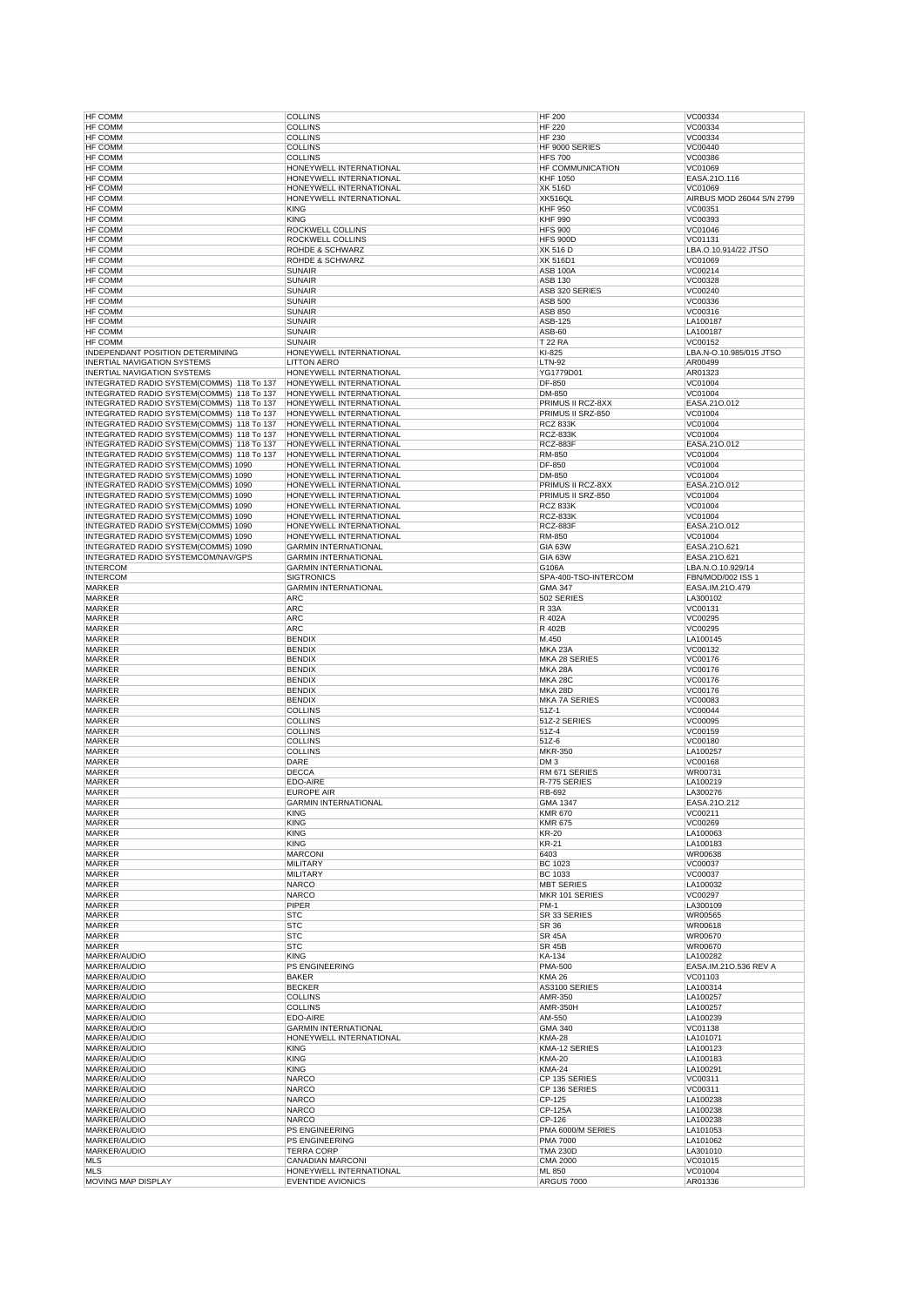| HF COMM                                   | <b>COLLINS</b>                                      | <b>HF 200</b>                    | VC00334                   |
|-------------------------------------------|-----------------------------------------------------|----------------------------------|---------------------------|
| HF COMM                                   | <b>COLLINS</b>                                      | <b>HF 220</b>                    | VC00334                   |
| HF COMM                                   | <b>COLLINS</b>                                      | <b>HF 230</b>                    | VC00334                   |
| <b>HF COMM</b>                            | <b>COLLINS</b>                                      | HF 9000 SERIES                   | VC00440                   |
| HF COMM                                   | <b>COLLINS</b>                                      | <b>HFS 700</b>                   | VC00386                   |
| HF COMM                                   | HONEYWELL INTERNATIONAL                             | HF COMMUNICATION                 | VC01069                   |
| <b>HF COMM</b>                            | HONEYWELL INTERNATIONAL                             | <b>KHF 1050</b>                  | EASA.210.116              |
| HF COMM                                   | HONEYWELL INTERNATIONAL                             | <b>XK 516D</b>                   | VC01069                   |
| <b>HF COMM</b>                            | HONEYWELL INTERNATIONAL                             | XK516QL                          | AIRBUS MOD 26044 S/N 2799 |
| <b>HF COMM</b>                            | <b>KING</b>                                         | <b>KHF 950</b>                   | VC00351                   |
| HF COMM                                   | <b>KING</b>                                         | <b>KHF 990</b>                   | VC00393                   |
| <b>HF COMM</b>                            | <b>ROCKWELL COLLINS</b>                             | <b>HFS 900</b>                   | VC01046                   |
| HF COMM                                   | ROCKWELL COLLINS                                    | <b>HFS 900D</b>                  | VC01131                   |
| HF COMM                                   | ROHDE & SCHWARZ                                     | <b>XK 516 D</b>                  | LBA.O.10.914/22 JTSO      |
| HF COMM                                   | <b>ROHDE &amp; SCHWARZ</b>                          | <b>XK 516D1</b>                  | VC01069                   |
| HF COMM                                   | <b>SUNAIR</b>                                       | ASB 100A                         | VC00214                   |
| <b>HF COMM</b>                            | <b>SUNAIR</b>                                       | <b>ASB 130</b>                   | VC00328                   |
| HF COMM                                   | <b>SUNAIR</b>                                       | ASB 320 SERIES                   | VC00240                   |
| <b>HF COMM</b><br><b>HF COMM</b>          | <b>SUNAIR</b><br><b>SUNAIR</b>                      | ASB 500<br><b>ASB 850</b>        | VC00336<br>VC00316        |
| HF COMM                                   | <b>SUNAIR</b>                                       | ASB-125                          | LA100187                  |
| <b>HF COMM</b>                            | <b>SUNAIR</b>                                       |                                  | LA100187                  |
| HF COMM                                   | <b>SUNAIR</b>                                       | ASB-60<br><b>T22 RA</b>          | VC00152                   |
| INDEPENDANT POSITION DETERMINING          | HONEYWELL INTERNATIONAL                             | KI-825                           | LBA.N-O.10.985/015 JTSO   |
| <b>INERTIAL NAVIGATION SYSTEMS</b>        | <b>LITTON AERO</b>                                  | <b>LTN-92</b>                    | AR00499                   |
| <b>INERTIAL NAVIGATION SYSTEMS</b>        | HONEYWELL INTERNATIONAL                             | YG1779D01                        | AR01323                   |
| INTEGRATED RADIO SYSTEM(COMMS) 118 To 137 | HONEYWELL INTERNATIONAL                             | DF-850                           | VC01004                   |
| INTEGRATED RADIO SYSTEM(COMMS) 118 To 137 | HONEYWELL INTERNATIONAL                             | DM-850                           | VC01004                   |
| INTEGRATED RADIO SYSTEM(COMMS) 118 To 137 | HONEYWELL INTERNATIONAL                             | PRIMUS II RCZ-8XX                | EASA.210.012              |
| INTEGRATED RADIO SYSTEM(COMMS) 118 To 137 | HONEYWELL INTERNATIONAL                             | PRIMUS II SRZ-850                | VC01004                   |
| INTEGRATED RADIO SYSTEM(COMMS) 118 To 137 | HONEYWELL INTERNATIONAL                             | <b>RCZ 833K</b>                  | VC01004                   |
| INTEGRATED RADIO SYSTEM(COMMS) 118 To 137 | HONEYWELL INTERNATIONAL                             | <b>RCZ-833K</b>                  | VC01004                   |
| INTEGRATED RADIO SYSTEM(COMMS) 118 To 137 | HONEYWELL INTERNATIONAL                             | <b>RCZ-883F</b>                  | EASA.21O.012              |
| INTEGRATED RADIO SYSTEM(COMMS) 118 To 137 | HONEYWELL INTERNATIONAL                             | RM-850                           | VC01004                   |
| INTEGRATED RADIO SYSTEM(COMMS) 1090       | HONEYWELL INTERNATIONAL                             | DF-850                           | VC01004                   |
| INTEGRATED RADIO SYSTEM(COMMS) 1090       | HONEYWELL INTERNATIONAL                             | DM-850                           | VC01004                   |
| INTEGRATED RADIO SYSTEM(COMMS) 1090       | HONEYWELL INTERNATIONAL                             | PRIMUS II RCZ-8XX                | EASA.21O.012              |
| INTEGRATED RADIO SYSTEM(COMMS) 1090       | HONEYWELL INTERNATIONAL                             | PRIMUS II SRZ-850                | VC01004                   |
| INTEGRATED RADIO SYSTEM(COMMS) 1090       | HONEYWELL INTERNATIONAL                             | RCZ 833K                         | VC01004                   |
| INTEGRATED RADIO SYSTEM(COMMS) 1090       | HONEYWELL INTERNATIONAL                             | <b>RCZ-833K</b>                  | VC01004                   |
| INTEGRATED RADIO SYSTEM(COMMS) 1090       | HONEYWELL INTERNATIONAL                             | <b>RCZ-883F</b>                  | EASA.210.012              |
| INTEGRATED RADIO SYSTEM(COMMS) 1090       | HONEYWELL INTERNATIONAL                             | RM-850                           | VC01004                   |
| INTEGRATED RADIO SYSTEM(COMMS) 1090       | <b>GARMIN INTERNATIONAL</b>                         | <b>GIA 63W</b>                   | EASA.21O.621              |
| INTEGRATED RADIO SYSTEMCOM/NAV/GPS        | <b>GARMIN INTERNATIONAL</b>                         | <b>GIA 63W</b>                   | EASA.21O.621              |
| <b>INTERCOM</b>                           | <b>GARMIN INTERNATIONAL</b>                         | G106A                            | LBA.N.O.10.929/14         |
| <b>INTERCOM</b>                           | <b>SIGTRONICS</b>                                   | SPA-400-TSO-INTERCOM             | FBN/MOD/002 ISS 1         |
| <b>MARKER</b>                             | <b>GARMIN INTERNATIONAL</b>                         | <b>GMA 347</b>                   | EASA.IM.210.479           |
| <b>MARKER</b>                             | <b>ARC</b>                                          | 502 SERIES                       | LA300102                  |
| MARKER                                    | <b>ARC</b>                                          | R 33A                            | VC00131                   |
| <b>MARKER</b><br><b>MARKER</b>            | <b>ARC</b><br><b>ARC</b>                            | R 402A<br>R 402B                 | VC00295<br>VC00295        |
| MARKER                                    | <b>BENDIX</b>                                       | M.450                            | LA100145                  |
| <b>MARKER</b>                             | <b>BENDIX</b>                                       | MKA 23A                          | VC00132                   |
| <b>MARKER</b>                             | <b>BENDIX</b>                                       | MKA 28 SERIES                    | VC00176                   |
| <b>MARKER</b>                             | <b>BENDIX</b>                                       | MKA 28A                          | VC00176                   |
| <b>MARKER</b>                             | <b>BENDIX</b>                                       | <b>MKA 28C</b>                   | VC00176                   |
| <b>MARKER</b>                             | <b>BENDIX</b>                                       | MKA 28D                          | VC00176                   |
| <b>MARKER</b>                             | <b>BENDIX</b>                                       | <b>MKA 7A SERIES</b>             | VC00083                   |
| <b>MARKER</b>                             | <b>COLLINS</b>                                      | $51Z-1$                          | VC00044                   |
| <b>MARKER</b>                             | <b>COLLINS</b>                                      | 51Z-2 SERIES                     | VC00095                   |
| <b>MARKER</b>                             | <b>COLLINS</b>                                      | 51Z-4                            | VC00159                   |
| MARKER                                    | <b>COLLINS</b>                                      | 51Z-6                            | VC00180                   |
| <b>MARKER</b>                             | <b>COLLINS</b>                                      | <b>MKR-350</b>                   | LA100257                  |
| MARKER                                    | DARE                                                | DM <sub>3</sub>                  | VC00168                   |
| <b>MARKER</b>                             | <b>DECCA</b>                                        | RM 671 SERIES                    | WR00731                   |
| <b>MARKER</b>                             | EDO-AIRE                                            | R-775 SERIES                     | LA100219                  |
| <b>MARKER</b>                             | <b>EUROPE AIR</b>                                   | RB-692                           | LA300276                  |
| MARKER                                    | <b>GARMIN INTERNATIONAL</b>                         | GMA 1347                         | EASA.210.212              |
| <b>MARKER</b>                             | <b>KING</b>                                         | <b>KMR 670</b>                   | VC00211                   |
| <b>MARKER</b>                             | <b>KING</b>                                         | <b>KMR 675</b>                   | VC00269                   |
| <b>MARKER</b>                             | <b>KING</b>                                         | <b>KR-20</b>                     | LA100063                  |
| <b>MARKER</b>                             | <b>KING</b>                                         | <b>KR-21</b>                     | LA100183                  |
| <b>MARKER</b>                             | <b>MARCONI</b>                                      | 6403                             | WR00638                   |
| <b>MARKER</b>                             | MILITARY<br>MILITARY                                | <b>BC 1023</b><br><b>BC 1033</b> | VC00037<br>VC00037        |
| <b>MARKER</b>                             |                                                     | <b>MBT SERIES</b>                |                           |
| <b>MARKER</b><br>MARKER                   | <b>NARCO</b><br><b>NARCO</b>                        | MKR 101 SERIES                   | LA100032<br>VC00297       |
| <b>MARKER</b>                             | PIPER                                               | <b>PM-1</b>                      | LA300109                  |
| <b>MARKER</b>                             | <b>STC</b>                                          | SR 33 SERIES                     | WR00565                   |
| <b>MARKER</b>                             | <b>STC</b>                                          | SR 36                            | WR00618                   |
| <b>MARKER</b>                             | <b>STC</b>                                          | <b>SR 45A</b>                    | WR00670                   |
| <b>MARKER</b>                             | <b>STC</b>                                          | <b>SR 45B</b>                    | WR00670                   |
| MARKER/AUDIO                              | <b>KING</b>                                         | KA-134                           | LA100282                  |
| MARKER/AUDIO                              | PS ENGINEERING                                      | <b>PMA-500</b>                   | EASA.IM.21O.536 REV A     |
| MARKER/AUDIO                              | <b>BAKER</b>                                        | <b>KMA 26</b>                    | VC01103                   |
| MARKER/AUDIO                              | <b>BECKER</b>                                       | AS3100 SERIES                    | LA100314                  |
| MARKER/AUDIO                              | <b>COLLINS</b>                                      | AMR-350                          | LA100257                  |
| MARKER/AUDIO                              | <b>COLLINS</b>                                      | <b>AMR-350H</b>                  | LA100257                  |
| MARKER/AUDIO                              | EDO-AIRE                                            | AM-550                           | LA100239                  |
| MARKER/AUDIO                              | <b>GARMIN INTERNATIONAL</b>                         | <b>GMA 340</b>                   | VC01138                   |
| MARKER/AUDIO                              | HONEYWELL INTERNATIONAL                             | <b>KMA-28</b>                    | LA101071                  |
| MARKER/AUDIO<br>MARKER/AUDIO              | <b>KING</b><br><b>KING</b>                          | KMA-12 SERIES<br><b>KMA-20</b>   | LA100123<br>LA100183      |
| MARKER/AUDIO                              | <b>KING</b>                                         | <b>KMA-24</b>                    | LA100291                  |
| MARKER/AUDIO                              | <b>NARCO</b>                                        | CP 135 SERIES                    | VC00311                   |
| MARKER/AUDIO                              | <b>NARCO</b>                                        | CP 136 SERIES                    | VC00311                   |
| MARKER/AUDIO                              | <b>NARCO</b>                                        | CP-125                           | LA100238                  |
| MARKER/AUDIO                              | <b>NARCO</b>                                        | CP-125A                          | LA100238                  |
| MARKER/AUDIO                              | <b>NARCO</b>                                        | CP-126                           | LA100238                  |
| MARKER/AUDIO                              | <b>PS ENGINEERING</b>                               | PMA 6000/M SERIES                | LA101053                  |
| MARKER/AUDIO                              | PS ENGINEERING                                      | <b>PMA 7000</b>                  | LA101062                  |
| MARKER/AUDIO                              | <b>TERRA CORP</b>                                   | <b>TMA 230D</b>                  | LA301010                  |
| <b>MLS</b>                                | CANADIAN MARCONI                                    | <b>CMA 2000</b>                  | VC01015                   |
|                                           |                                                     |                                  |                           |
| <b>MLS</b><br>MOVING MAP DISPLAY          | HONEYWELL INTERNATIONAL<br><b>EVENTIDE AVIONICS</b> | ML 850<br>ARGUS 7000             | VC01004<br>AR01336        |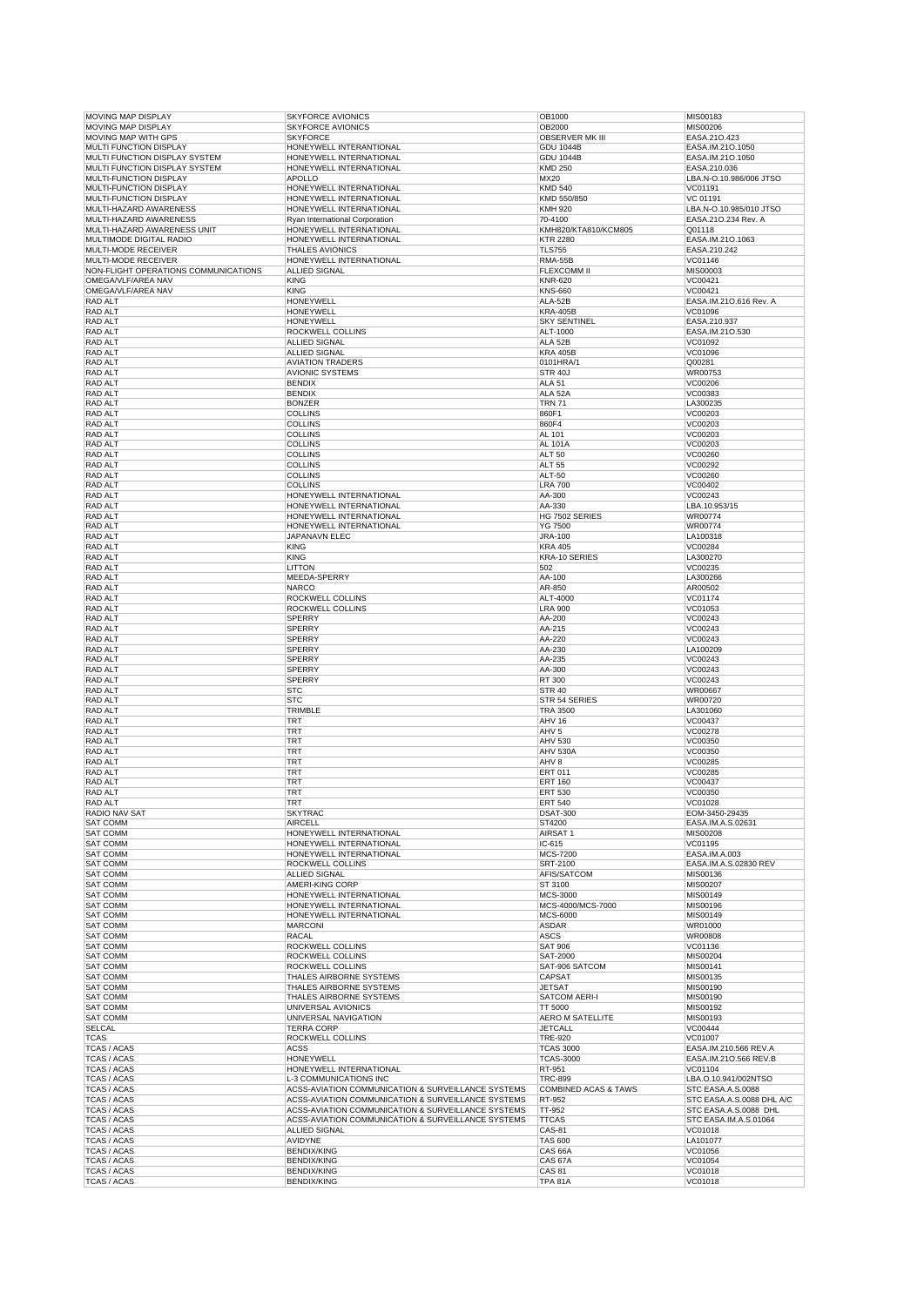| MOVING MAP DISPLAY                   | <b>SKYFORCE AVIONICS</b>                           | OB1000                          | MIS00183                  |
|--------------------------------------|----------------------------------------------------|---------------------------------|---------------------------|
| <b>MOVING MAP DISPLAY</b>            | <b>SKYFORCE AVIONICS</b>                           | OB2000                          | MIS00206                  |
| <b>MOVING MAP WITH GPS</b>           | <b>SKYFORCE</b>                                    | <b>OBSERVER MK III</b>          | EASA.210.423              |
| MULTI FUNCTION DISPLAY               | HONEYWELL INTERANTIONAL                            | <b>GDU 1044B</b>                | EASA.IM.21O.1050          |
| MULTI FUNCTION DISPLAY SYSTEM        | HONEYWELL INTERNATIONAL                            | <b>GDU 1044B</b>                | EASA.IM.21O.1050          |
| MULTI FUNCTION DISPLAY SYSTEM        | HONEYWELL INTERNATIONAL                            | <b>KMD 250</b>                  | EASA.210.036              |
| MULTI-FUNCTION DISPLAY               | <b>APOLLO</b>                                      | MX20                            | LBA.N-O.10.986/006 JTSO   |
| MULTI-FUNCTION DISPLAY               | HONEYWELL INTERNATIONAL                            | <b>KMD 540</b>                  | VC01191                   |
| MULTI-FUNCTION DISPLAY               | HONEYWELL INTERNATIONAL                            | KMD 550/850                     | VC 01191                  |
| MULTI-HAZARD AWARENESS               | HONEYWELL INTERNATIONAL                            | <b>KMH 920</b>                  | LBA.N-O.10.985/010 JTSO   |
| MULTI-HAZARD AWARENESS               | Ryan International Corporation                     | 70-4100                         | EASA.210.234 Rev. A       |
| MULTI-HAZARD AWARENESS UNIT          | HONEYWELL INTERNATIONAL                            | KMH820/KTA810/KCM805            | Q01118                    |
| MULTIMODE DIGITAL RADIO              | HONEYWELL INTERNATIONAL                            | <b>KTR 2280</b>                 | EASA.IM.21O.1063          |
|                                      |                                                    |                                 |                           |
| MULTI-MODE RECEIVER                  | <b>THALES AVIONICS</b>                             | <b>TLS755</b>                   | EASA.210.242              |
| <b>MULTI-MODE RECEIVER</b>           | HONEYWELL INTERNATIONAL                            | <b>RMA-55B</b>                  | VC01146                   |
| NON-FLIGHT OPERATIONS COMMUNICATIONS | ALLIED SIGNAL                                      | <b>FLEXCOMM II</b>              | MIS00003                  |
| OMEGA/VLF/AREA NAV                   | <b>KING</b>                                        | <b>KNR-620</b>                  | VC00421                   |
| OMEGA/VLF/AREA NAV                   | <b>KING</b>                                        | <b>KNS-660</b>                  | VC00421                   |
| RAD ALT                              | <b>HONEYWELL</b>                                   | ALA-52B                         | EASA.IM.21O.616 Rev. A    |
| <b>RAD ALT</b>                       | <b>HONEYWELL</b>                                   | <b>KRA-405B</b>                 | VC01096                   |
| RAD ALT                              | <b>HONEYWELL</b>                                   | <b>SKY SENTINEL</b>             | EASA.210.937              |
| RAD ALT                              | ROCKWELL COLLINS                                   | ALT-1000                        | EASA.IM.21O.530           |
| RAD ALT                              | <b>ALLIED SIGNAL</b>                               | ALA 52B                         | VC01092                   |
| RAD ALT                              | <b>ALLIED SIGNAL</b>                               | <b>KRA 405B</b>                 | VC01096                   |
| <b>RAD ALT</b>                       | <b>AVIATION TRADERS</b>                            | 0101HRA/1                       | Q00281                    |
| RAD ALT                              | <b>AVIONIC SYSTEMS</b>                             | <b>STR 40J</b>                  | WR00753                   |
| <b>RAD ALT</b>                       | <b>BENDIX</b>                                      | <b>ALA 51</b>                   | VC00206                   |
|                                      | <b>BENDIX</b>                                      | ALA 52A                         | VC00383                   |
| RAD ALT                              |                                                    |                                 |                           |
| RAD ALT                              | <b>BONZER</b>                                      | <b>TRN 71</b>                   | LA300235                  |
| <b>RAD ALT</b>                       | <b>COLLINS</b>                                     | 860F1                           | VC00203                   |
| RAD ALT                              | <b>COLLINS</b>                                     | 860F4                           | VC00203                   |
| RAD ALT                              | <b>COLLINS</b>                                     | AL 101                          | VC00203                   |
| <b>RAD ALT</b>                       | <b>COLLINS</b>                                     | AL 101A                         | VC00203                   |
| RAD ALT                              | <b>COLLINS</b>                                     | <b>ALT 50</b>                   | VC00260                   |
| <b>RAD ALT</b>                       | <b>COLLINS</b>                                     | <b>ALT 55</b>                   | VC00292                   |
| RAD ALT                              | <b>COLLINS</b>                                     | <b>ALT-50</b>                   | VC00260                   |
| <b>RAD ALT</b>                       | <b>COLLINS</b>                                     | <b>LRA 700</b>                  | VC00402                   |
| RAD ALT                              | HONEYWELL INTERNATIONAL                            | AA-300                          | VC00243                   |
| RAD ALT                              | HONEYWELL INTERNATIONAL                            | AA-330                          | LBA.10.953/15             |
| <b>RAD ALT</b>                       | HONEYWELL INTERNATIONAL                            |                                 | WR00774                   |
|                                      |                                                    | HG 7502 SERIES                  |                           |
| RAD ALT                              | HONEYWELL INTERNATIONAL                            | YG 7500                         | WR00774                   |
| <b>RAD ALT</b>                       | JAPANAVN ELEC                                      | <b>JRA-100</b>                  | LA100318                  |
| RAD ALT                              | <b>KING</b>                                        | <b>KRA 405</b>                  | VC00284                   |
| RAD ALT                              | <b>KING</b>                                        | KRA-10 SERIES                   | LA300270                  |
| <b>RAD ALT</b>                       | <b>LITTON</b>                                      | 502                             | VC00235                   |
| RAD ALT                              | MEEDA-SPERRY                                       | AA-100                          | LA300266                  |
| <b>RAD ALT</b>                       | <b>NARCO</b>                                       | AR-850                          | AR00502                   |
| RAD ALT                              | ROCKWELL COLLINS                                   | ALT-4000                        | VC01174                   |
| RAD ALT                              | ROCKWELL COLLINS                                   | <b>LRA 900</b>                  | VC01053                   |
| <b>RAD ALT</b>                       | <b>SPERRY</b>                                      | AA-200                          | VC00243                   |
| RAD ALT                              | SPERRY                                             | AA-215                          | VC00243                   |
| <b>RAD ALT</b>                       | <b>SPERRY</b>                                      | AA-220                          | VC00243                   |
|                                      |                                                    |                                 |                           |
| RAD ALT                              | <b>SPERRY</b>                                      | AA-230                          | LA100209                  |
| RAD ALT                              | <b>SPERRY</b>                                      | AA-235                          | VC00243                   |
| <b>RAD ALT</b>                       | <b>SPERRY</b>                                      | AA-300                          | VC00243                   |
| RAD ALT                              | <b>SPERRY</b>                                      | RT 300                          | VC00243                   |
| <b>RAD ALT</b>                       | <b>STC</b>                                         | <b>STR 40</b>                   | WR00667                   |
| RAD ALT                              | <b>STC</b>                                         | STR 54 SERIES                   | WR00720                   |
| RAD ALT                              | TRIMBLE                                            | <b>TRA 3500</b>                 | LA301060                  |
| <b>RAD ALT</b>                       | <b>TRT</b>                                         | AHV 16                          | VC00437                   |
| RAD ALT                              | TRT                                                | AHV 5                           | VC00278                   |
| RAD ALT                              | TRT                                                | AHV 530                         | VC00350                   |
| <b>RAD ALT</b>                       | TRT                                                | <b>AHV 530A</b>                 | VC00350                   |
| RAD ALT                              | TRT                                                | AHV 8                           | VC00285                   |
|                                      | TRT                                                |                                 |                           |
| <b>RAD ALT</b>                       |                                                    | <b>ERT 011</b>                  | VC00285                   |
| RAD ALT                              | TRT                                                | <b>ERT 160</b>                  | VC00437                   |
| <b>RAD ALT</b>                       | TRT                                                | <b>ERT 530</b>                  | VC00350                   |
| RAD ALT                              | TRT                                                | <b>ERT 540</b>                  | VC01028                   |
| RADIO NAV SAT                        | SKYTRAC                                            | <b>DSAT-300</b>                 | EOM-3450-29435            |
| <b>SAT COMM</b>                      | <b>AIRCELL</b>                                     | ST4200                          | EASA.IM.A.S.02631         |
| <b>SAT COMM</b>                      | HONEYWELL INTERNATIONAL                            | AIRSAT 1                        | MIS00208                  |
| <b>SAT COMM</b>                      | HONEYWELL INTERNATIONAL                            | IC-615                          | VC01195                   |
| <b>SAT COMM</b>                      | HONEYWELL INTERNATIONAL                            | MCS-7200                        | EASA.IM.A.003             |
| SAT COMM                             | ROCKWELL COLLINS                                   | SRT-2100                        | EASA.IM.A.S.02830 REV     |
| <b>SAT COMM</b>                      | <b>ALLIED SIGNAL</b>                               | AFIS/SATCOM                     | MIS00136                  |
| <b>SAT COMM</b>                      | AMERI-KING CORP                                    | ST 3100                         | MIS00207                  |
| SAT COMM                             | HONEYWELL INTERNATIONAL                            | MCS-3000                        | MIS00149                  |
| SAT COMM                             | HONEYWELL INTERNATIONAL                            | MCS-4000/MCS-7000               | MIS00196                  |
| SAT COMM                             | HONEYWELL INTERNATIONAL                            | MCS-6000                        | MIS00149                  |
| <b>SAT COMM</b>                      | <b>MARCONI</b>                                     | <b>ASDAR</b>                    | WR01000                   |
|                                      |                                                    |                                 |                           |
| SAT COMM                             | <b>RACAL</b>                                       | ASCS                            | <b>WR00808</b>            |
| SAT COMM                             | ROCKWELL COLLINS                                   | <b>SAT 906</b>                  | VC01136                   |
| <b>SAT COMM</b>                      | ROCKWELL COLLINS                                   | SAT-2000                        | MIS00204                  |
| SAT COMM                             | ROCKWELL COLLINS                                   | SAT-906 SATCOM                  | MIS00141                  |
| <b>SAT COMM</b>                      |                                                    |                                 |                           |
| <b>SAT COMM</b>                      | THALES AIRBORNE SYSTEMS                            | CAPSAT                          | MIS00135                  |
| SAT COMM                             | THALES AIRBORNE SYSTEMS                            | <b>JETSAT</b>                   | MIS00190                  |
| SAT COMM                             | THALES AIRBORNE SYSTEMS                            | <b>SATCOM AERI-I</b>            | MIS00190                  |
|                                      | UNIVERSAL AVIONICS                                 | TT 5000                         | MIS00192                  |
| SAT COMM                             | UNIVERSAL NAVIGATION                               | <b>AERO M SATELLITE</b>         | MIS00193                  |
|                                      |                                                    |                                 |                           |
| SELCAL                               | <b>TERRA CORP</b>                                  | <b>JETCALL</b>                  | VC00444                   |
| TCAS                                 | ROCKWELL COLLINS                                   | <b>TRE-920</b>                  | VC01007                   |
| <b>TCAS / ACAS</b>                   | <b>ACSS</b>                                        | <b>TCAS 3000</b>                | EASA.IM.210.566 REV.A     |
| TCAS / ACAS                          | <b>HONEYWELL</b>                                   | <b>TCAS-3000</b>                | EASA.IM.21O.566 REV.B     |
| <b>TCAS / ACAS</b>                   | HONEYWELL INTERNATIONAL                            | RT-951                          | VC01104                   |
| <b>TCAS / ACAS</b>                   | L-3 COMMUNICATIONS INC                             | <b>TRC-899</b>                  | LBA.O.10.941/002NTSO      |
| <b>TCAS / ACAS</b>                   | ACSS-AVIATION COMMUNICATION & SURVEILLANCE SYSTEMS | <b>COMBINED ACAS &amp; TAWS</b> | STC EASA.A.S.0088         |
| <b>TCAS / ACAS</b>                   | ACSS-AVIATION COMMUNICATION & SURVEILLANCE SYSTEMS | RT-952                          | STC EASA.A.S.0088 DHL A/C |
| TCAS / ACAS                          | ACSS-AVIATION COMMUNICATION & SURVEILLANCE SYSTEMS | TT-952                          | STC EASA.A.S.0088 DHL     |
| <b>TCAS / ACAS</b>                   | ACSS-AVIATION COMMUNICATION & SURVEILLANCE SYSTEMS | <b>TTCAS</b>                    | STC EASA.IM.A.S.01064     |
| <b>TCAS / ACAS</b>                   | ALLIED SIGNAL                                      | CAS-81                          | VC01018                   |
| <b>TCAS / ACAS</b>                   | AVIDYNE                                            | <b>TAS 600</b>                  | LA101077                  |
|                                      | <b>BENDIX/KING</b>                                 |                                 |                           |
| <b>TCAS / ACAS</b>                   |                                                    | CAS 66A                         | VC01056                   |
| TCAS / ACAS                          | <b>BENDIX/KING</b>                                 | CAS 67A                         | VC01054                   |
| TCAS / ACAS<br><b>TCAS / ACAS</b>    | <b>BENDIX/KING</b><br><b>BENDIX/KING</b>           | CAS 81<br><b>TPA 81A</b>        | VC01018<br>VC01018        |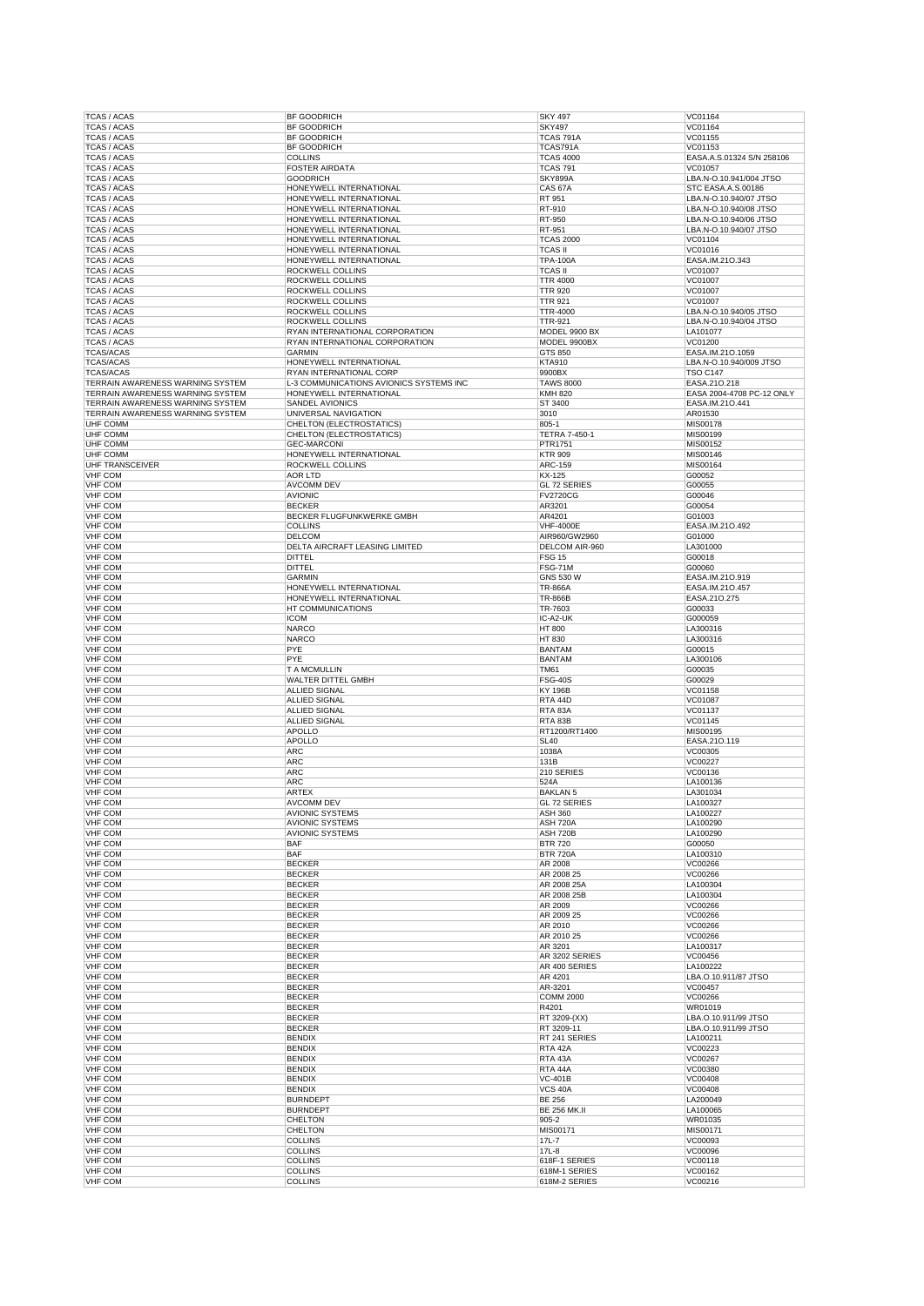| TCAS / ACAS                                                          | BF GOODRICH                                          | <b>SKY 497</b>                  | VC01164                                       |
|----------------------------------------------------------------------|------------------------------------------------------|---------------------------------|-----------------------------------------------|
| <b>TCAS / ACAS</b>                                                   | <b>BF GOODRICH</b>                                   | <b>SKY497</b>                   | VC01164                                       |
| <b>TCAS / ACAS</b>                                                   | <b>BF GOODRICH</b>                                   | <b>TCAS 791A</b>                | VC01155                                       |
| <b>TCAS / ACAS</b>                                                   | <b>BF GOODRICH</b>                                   | TCAS791A                        | VC01153                                       |
| <b>TCAS / ACAS</b>                                                   | <b>COLLINS</b>                                       | <b>TCAS 4000</b>                | EASA.A.S.01324 S/N 258106                     |
| <b>TCAS / ACAS</b>                                                   | <b>FOSTER AIRDATA</b>                                | <b>TCAS 791</b>                 | VC01057                                       |
| <b>TCAS / ACAS</b><br><b>TCAS / ACAS</b>                             | <b>GOODRICH</b><br>HONEYWELL INTERNATIONAL           | SKY899A<br>CAS <sub>67</sub> A  | LBA.N-O.10.941/004 JTSO<br>STC EASA.A.S.00186 |
| <b>TCAS / ACAS</b>                                                   | HONEYWELL INTERNATIONAL                              | RT 951                          | LBA.N-O.10.940/07 JTSO                        |
| <b>TCAS / ACAS</b>                                                   | HONEYWELL INTERNATIONAL                              | RT-910                          | LBA.N-O.10.940/08 JTSO                        |
| <b>TCAS / ACAS</b>                                                   | HONEYWELL INTERNATIONAL                              | RT-950                          | LBA.N-O.10.940/06 JTSO                        |
| <b>TCAS / ACAS</b>                                                   | HONEYWELL INTERNATIONAL                              | RT-951                          | LBA.N-O.10.940/07 JTSO                        |
| <b>TCAS / ACAS</b>                                                   | HONEYWELL INTERNATIONAL                              | <b>TCAS 2000</b>                | VC01104                                       |
| <b>TCAS / ACAS</b>                                                   | HONEYWELL INTERNATIONAL                              | <b>TCAS II</b>                  | VC01016                                       |
| <b>TCAS / ACAS</b>                                                   | HONEYWELL INTERNATIONAL                              | <b>TPA-100A</b>                 | EASA.IM.210.343                               |
| <b>TCAS / ACAS</b>                                                   | <b>ROCKWELL COLLINS</b>                              | <b>TCAS II</b>                  | VC01007                                       |
| <b>TCAS / ACAS</b>                                                   | <b>ROCKWELL COLLINS</b>                              | <b>TTR 4000</b>                 | VC01007                                       |
| <b>TCAS / ACAS</b>                                                   | ROCKWELL COLLINS                                     | <b>TTR 920</b>                  | VC01007                                       |
| <b>TCAS / ACAS</b><br><b>TCAS / ACAS</b>                             | ROCKWELL COLLINS<br><b>ROCKWELL COLLINS</b>          | <b>TTR 921</b><br>TTR-4000      | VC01007<br>LBA.N-O.10.940/05 JTSO             |
| <b>TCAS / ACAS</b>                                                   | <b>ROCKWELL COLLINS</b>                              | <b>TTR-921</b>                  | LBA.N-O.10.940/04 JTSO                        |
| <b>TCAS / ACAS</b>                                                   | RYAN INTERNATIONAL CORPORATION                       | MODEL 9900 BX                   | LA101077                                      |
| <b>TCAS / ACAS</b>                                                   | RYAN INTERNATIONAL CORPORATION                       | MODEL 9900BX                    | VC01200                                       |
| <b>TCAS/ACAS</b>                                                     | <b>GARMIN</b>                                        | GTS 850                         | EASA.IM.21O.1059                              |
| <b>TCAS/ACAS</b>                                                     | HONEYWELL INTERNATIONAL                              | <b>KTA910</b>                   | LBA.N-O.10.940/009 JTSO                       |
| <b>TCAS/ACAS</b>                                                     | RYAN INTERNATIONAL CORP                              | 9900BX                          | <b>TSO C147</b>                               |
| TERRAIN AWARENESS WARNING SYSTEM                                     | L-3 COMMUNICATIONS AVIONICS SYSTEMS INC              | <b>TAWS 8000</b>                | EASA.21O.218                                  |
| TERRAIN AWARENESS WARNING SYSTEM                                     | HONEYWELL INTERNATIONAL                              | <b>KMH 820</b>                  | EASA 2004-4708 PC-12 ONLY                     |
| TERRAIN AWARENESS WARNING SYSTEM<br>TERRAIN AWARENESS WARNING SYSTEM | SANDEL AVIONICS                                      | ST 3400                         | EASA.IM.210.441                               |
| <b>UHF COMM</b>                                                      | UNIVERSAL NAVIGATION                                 | 3010<br>805-1                   | AR01530                                       |
| UHF COMM                                                             | CHELTON (ELECTROSTATICS)<br>CHELTON (ELECTROSTATICS) | <b>TETRA 7-450-1</b>            | MIS00178<br>MIS00199                          |
| UHF COMM                                                             | <b>GEC-MARCONI</b>                                   | PTR1751                         | MIS00152                                      |
| UHF COMM                                                             | HONEYWELL INTERNATIONAL                              | <b>KTR 909</b>                  | MIS00146                                      |
| <b>UHF TRANSCEIVER</b>                                               | ROCKWELL COLLINS                                     | <b>ARC-159</b>                  | MIS00164                                      |
| <b>VHF COM</b>                                                       | <b>AOR LTD</b>                                       | KX-125                          | G00052                                        |
| <b>VHF COM</b>                                                       | <b>AVCOMM DEV</b>                                    | GL 72 SERIES                    | G00055                                        |
| <b>VHF COM</b>                                                       | <b>AVIONIC</b>                                       | <b>FV2720CG</b>                 | G00046                                        |
| <b>VHF COM</b>                                                       | <b>BECKER</b>                                        | AR3201                          | G00054                                        |
| <b>VHF COM</b>                                                       | BECKER FLUGFUNKWERKE GMBH                            | AR4201                          | G01003                                        |
| <b>VHF COM</b>                                                       | <b>COLLINS</b>                                       | <b>VHF-4000E</b>                | EASA.IM.21O.492                               |
| <b>VHF COM</b>                                                       | <b>DELCOM</b>                                        | AIR960/GW2960                   | G01000<br>LA301000                            |
| <b>VHF COM</b><br><b>VHF COM</b>                                     | DELTA AIRCRAFT LEASING LIMITED<br><b>DITTEL</b>      | DELCOM AIR-960<br><b>FSG 15</b> | G00018                                        |
| <b>VHF COM</b>                                                       | <b>DITTEL</b>                                        | <b>FSG-71M</b>                  | G00060                                        |
| <b>VHF COM</b>                                                       | <b>GARMIN</b>                                        | GNS 530 W                       | EASA.IM.21O.919                               |
| <b>VHF COM</b>                                                       | HONEYWELL INTERNATIONAL                              | <b>TR-866A</b>                  | EASA.IM.210.457                               |
| <b>VHF COM</b>                                                       | HONEYWELL INTERNATIONAL                              | <b>TR-866B</b>                  | EASA.210.275                                  |
| <b>VHF COM</b>                                                       | HT COMMUNICATIONS                                    | TR-7603                         | G00033                                        |
| <b>VHF COM</b>                                                       | <b>ICOM</b>                                          | IC-A2-UK                        | G000059                                       |
| <b>VHF COM</b>                                                       | <b>NARCO</b>                                         | <b>HT 800</b>                   | LA300316                                      |
| <b>VHF COM</b>                                                       | <b>NARCO</b>                                         | HT 830                          | LA300316                                      |
| <b>VHF COM</b>                                                       | PYE                                                  | <b>BANTAM</b>                   | G00015                                        |
| <b>VHF COM</b><br><b>VHF COM</b>                                     | PYE<br><b>T A MCMULLIN</b>                           | <b>BANTAM</b><br><b>TM61</b>    | LA300106                                      |
| <b>VHF COM</b>                                                       | WALTER DITTEL GMBH                                   | <b>FSG-40S</b>                  | G00035<br>G00029                              |
| <b>VHF COM</b>                                                       | <b>ALLIED SIGNAL</b>                                 | <b>KY 196B</b>                  | VC01158                                       |
| <b>VHF COM</b>                                                       | <b>ALLIED SIGNAL</b>                                 | RTA 44D                         | VC01087                                       |
| <b>VHF COM</b>                                                       | <b>ALLIED SIGNAL</b>                                 | RTA 83A                         | VC01137                                       |
| <b>VHF COM</b>                                                       | <b>ALLIED SIGNAL</b>                                 | RTA 83B                         | VC01145                                       |
| <b>VHF COM</b>                                                       | <b>APOLLO</b>                                        | RT1200/RT1400                   | MIS00195                                      |
| <b>VHF COM</b>                                                       | <b>APOLLO</b>                                        | <b>SL40</b>                     | EASA.210.119                                  |
| <b>VHF COM</b>                                                       | <b>ARC</b>                                           | 1038A                           | VC00305                                       |
| <b>VHF COM</b>                                                       | <b>ARC</b>                                           | 131B                            | VC00227                                       |
| VHF COM                                                              |                                                      |                                 |                                               |
|                                                                      | <b>ARC</b>                                           | 210 SERIES                      | VC00136                                       |
| <b>VHF COM</b>                                                       | <b>ARC</b>                                           | 524A                            | LA100136                                      |
| <b>VHF COM</b>                                                       | <b>ARTEX</b>                                         | <b>BAKLAN 5</b>                 | LA301034                                      |
| <b>VHF COM</b>                                                       | <b>AVCOMM DEV</b>                                    | GL 72 SERIES                    | LA100327                                      |
| <b>VHF COM</b><br><b>VHF COM</b>                                     | <b>AVIONIC SYSTEMS</b><br><b>AVIONIC SYSTEMS</b>     | <b>ASH 360</b><br>ASH 720A      | LA100227<br>LA100290                          |
| <b>VHF COM</b>                                                       | <b>AVIONIC SYSTEMS</b>                               | ASH 720B                        | LA100290                                      |
| VHF COM                                                              | <b>BAF</b>                                           | <b>BTR 720</b>                  | G00050                                        |
| <b>VHF COM</b>                                                       | <b>BAF</b>                                           | <b>BTR 720A</b>                 | LA100310                                      |
| <b>VHF COM</b>                                                       | <b>BECKER</b>                                        | AR 2008                         | VC00266                                       |
| <b>VHF COM</b>                                                       | <b>BECKER</b>                                        | AR 2008 25                      | VC00266                                       |
| <b>VHF COM</b>                                                       | <b>BECKER</b>                                        | AR 2008 25A                     | LA100304                                      |
| <b>VHF COM</b>                                                       | <b>BECKER</b>                                        | AR 2008 25B                     | LA100304                                      |
| <b>VHF COM</b><br><b>VHF COM</b>                                     | <b>BECKER</b><br><b>BECKER</b>                       | AR 2009<br>AR 2009 25           | VC00266<br>VC00266                            |
| <b>VHF COM</b>                                                       | <b>BECKER</b>                                        | AR 2010                         | VC00266                                       |
| <b>VHF COM</b>                                                       | <b>BECKER</b>                                        | AR 2010 25                      | VC00266                                       |
| VHF COM                                                              | <b>BECKER</b>                                        | AR 3201                         | LA100317                                      |
| <b>VHF COM</b>                                                       | <b>BECKER</b>                                        | AR 3202 SERIES                  | VC00456                                       |
| <b>VHF COM</b>                                                       | <b>BECKER</b>                                        | AR 400 SERIES                   | LA100222                                      |
| <b>VHF COM</b>                                                       | <b>BECKER</b>                                        | AR 4201                         | LBA.O.10.911/87 JTSO                          |
| <b>VHF COM</b>                                                       | <b>BECKER</b>                                        | AR-3201                         | VC00457                                       |
| <b>VHF COM</b>                                                       | <b>BECKER</b>                                        | <b>COMM 2000</b>                | VC00266                                       |
| <b>VHF COM</b><br><b>VHF COM</b>                                     | <b>BECKER</b><br><b>BECKER</b>                       | R4201<br>RT 3209-(XX)           | WR01019<br>LBA.O.10.911/99 JTSO               |
| <b>VHF COM</b>                                                       | <b>BECKER</b>                                        | RT 3209-11                      | LBA.O.10.911/99 JTSO                          |
| <b>VHF COM</b>                                                       | <b>BENDIX</b>                                        | RT 241 SERIES                   | LA100211                                      |
| VHF COM                                                              | <b>BENDIX</b>                                        | RTA 42A                         | VC00223                                       |
| <b>VHF COM</b>                                                       | <b>BENDIX</b>                                        | RTA 43A                         | VC00267                                       |
| <b>VHF COM</b>                                                       | <b>BENDIX</b>                                        | RTA 44A                         | VC00380                                       |
| <b>VHF COM</b>                                                       | <b>BENDIX</b>                                        | <b>VC-401B</b>                  | VC00408                                       |
| <b>VHF COM</b>                                                       | <b>BENDIX</b>                                        | <b>VCS 40A</b>                  | VC00408                                       |
| <b>VHF COM</b>                                                       | <b>BURNDEPT</b>                                      | <b>BE 256</b>                   | LA200049                                      |
| <b>VHF COM</b>                                                       | <b>BURNDEPT</b>                                      | <b>BE 256 MK.II</b>             | LA100065                                      |
| <b>VHF COM</b><br><b>VHF COM</b>                                     | <b>CHELTON</b><br><b>CHELTON</b>                     | 905-2                           | WR01035<br>MIS00171                           |
| <b>VHF COM</b>                                                       | <b>COLLINS</b>                                       | MIS00171<br>17L-7               | VC00093                                       |
| VHF COM                                                              | <b>COLLINS</b>                                       | $17L-8$                         | VC00096                                       |
| VHF COM                                                              | <b>COLLINS</b>                                       | 618F-1 SERIES                   | VC00118                                       |
| <b>VHF COM</b><br><b>VHF COM</b>                                     | <b>COLLINS</b><br><b>COLLINS</b>                     | 618M-1 SERIES<br>618M-2 SERIES  | VC00162<br>VC00216                            |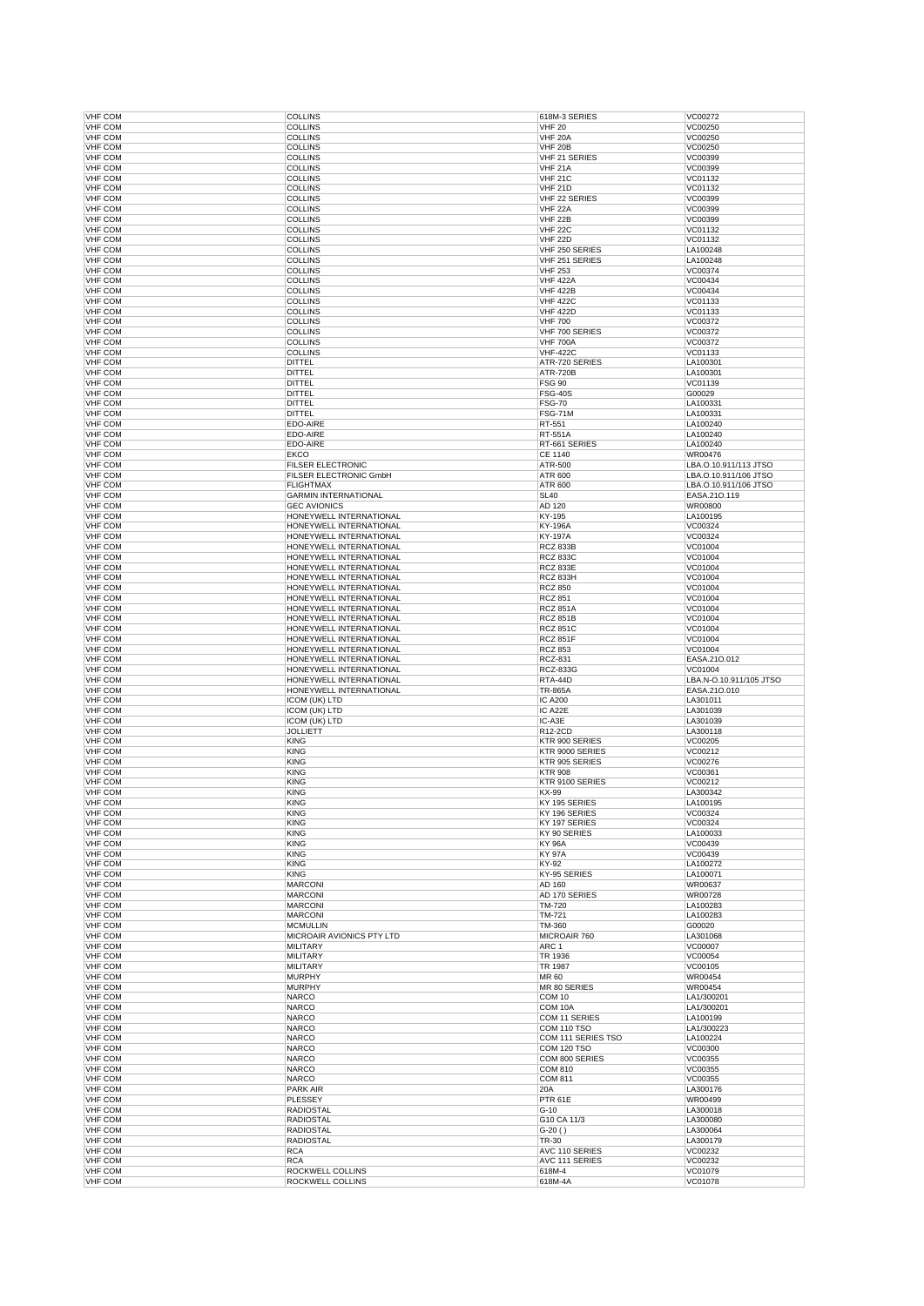| <b>VHF COM</b>                   | <b>COLLINS</b>                                     | 618M-3 SERIES                      | VC00272                          |
|----------------------------------|----------------------------------------------------|------------------------------------|----------------------------------|
| <b>VHF COM</b>                   | <b>COLLINS</b>                                     | <b>VHF 20</b>                      | VC00250                          |
| <b>VHF COM</b>                   | <b>COLLINS</b>                                     | VHF 20A                            | VC00250                          |
| <b>VHF COM</b>                   | <b>COLLINS</b>                                     | <b>VHF 20B</b>                     | VC00250                          |
| <b>VHF COM</b><br><b>VHF COM</b> | <b>COLLINS</b><br><b>COLLINS</b>                   | VHF 21 SERIES<br><b>VHF 21A</b>    | VC00399<br>VC00399               |
| <b>VHF COM</b>                   | <b>COLLINS</b>                                     | <b>VHF 21C</b>                     | VC01132                          |
| <b>VHF COM</b>                   | <b>COLLINS</b>                                     | <b>VHF 21D</b>                     | VC01132                          |
| <b>VHF COM</b>                   | <b>COLLINS</b>                                     | VHF 22 SERIES                      | VC00399                          |
| <b>VHF COM</b>                   | <b>COLLINS</b>                                     | VHF <sub>22A</sub>                 | VC00399                          |
| <b>VHF COM</b>                   | <b>COLLINS</b>                                     | VHF 22B                            | VC00399                          |
| <b>VHF COM</b>                   | <b>COLLINS</b>                                     | <b>VHF 22C</b>                     | VC01132                          |
| <b>VHF COM</b>                   | <b>COLLINS</b>                                     | VHF 22D                            | VC01132                          |
| <b>VHF COM</b><br><b>VHF COM</b> | <b>COLLINS</b><br><b>COLLINS</b>                   | VHF 250 SERIES<br>VHF 251 SERIES   | LA100248<br>LA100248             |
| <b>VHF COM</b>                   | <b>COLLINS</b>                                     | <b>VHF 253</b>                     | VC00374                          |
| <b>VHF COM</b>                   | <b>COLLINS</b>                                     | <b>VHF 422A</b>                    | VC00434                          |
| <b>VHF COM</b>                   | <b>COLLINS</b>                                     | <b>VHF 422B</b>                    | VC00434                          |
| <b>VHF COM</b>                   | <b>COLLINS</b>                                     | <b>VHF 422C</b>                    | VC01133                          |
| <b>VHF COM</b>                   | <b>COLLINS</b>                                     | <b>VHF 422D</b>                    | VC01133                          |
| <b>VHF COM</b>                   | <b>COLLINS</b>                                     | <b>VHF 700</b>                     | VC00372                          |
| <b>VHF COM</b>                   | <b>COLLINS</b>                                     | VHF 700 SERIES                     | VC00372                          |
| <b>VHF COM</b><br><b>VHF COM</b> | <b>COLLINS</b><br><b>COLLINS</b>                   | <b>VHF 700A</b><br><b>VHF-422C</b> | VC00372<br>VC01133               |
| <b>VHF COM</b>                   | <b>DITTEL</b>                                      | ATR-720 SERIES                     | LA100301                         |
| <b>VHF COM</b>                   | <b>DITTEL</b>                                      | <b>ATR-720B</b>                    | LA100301                         |
| <b>VHF COM</b>                   | DITTEL                                             | <b>FSG 90</b>                      | VC01139                          |
| <b>VHF COM</b>                   | <b>DITTEL</b>                                      | <b>FSG-40S</b>                     | G00029                           |
| <b>VHF COM</b>                   | <b>DITTEL</b>                                      | <b>FSG-70</b>                      | LA100331                         |
| <b>VHF COM</b>                   | DITTEL                                             | <b>FSG-71M</b>                     | LA100331                         |
| <b>VHF COM</b>                   | EDO-AIRE                                           | RT-551                             | LA100240                         |
| <b>VHF COM</b>                   | EDO-AIRE                                           | RT-551A                            | LA100240                         |
| <b>VHF COM</b>                   | EDO-AIRE                                           | RT-661 SERIES                      | LA100240                         |
| <b>VHF COM</b><br><b>VHF COM</b> | <b>EKCO</b><br><b>FILSER ELECTRONIC</b>            | CE 1140<br>ATR-500                 | WR00476<br>LBA.O.10.911/113 JTSO |
| <b>VHF COM</b>                   | FILSER ELECTRONIC GmbH                             | ATR 600                            | LBA.O.10.911/106 JTSO            |
| <b>VHF COM</b>                   | <b>FLIGHTMAX</b>                                   | ATR 600                            | LBA.O.10.911/106 JTSO            |
| <b>VHF COM</b>                   | <b>GARMIN INTERNATIONAL</b>                        | <b>SL40</b>                        | EASA.210.119                     |
| <b>VHF COM</b>                   | <b>GEC AVIONICS</b>                                | AD 120                             | <b>WR00800</b>                   |
| <b>VHF COM</b>                   | HONEYWELL INTERNATIONAL                            | KY-195                             | LA100195                         |
| <b>VHF COM</b>                   | HONEYWELL INTERNATIONAL                            | <b>KY-196A</b>                     | VC00324                          |
| <b>VHF COM</b>                   | HONEYWELL INTERNATIONAL                            | <b>KY-197A</b>                     | VC00324                          |
| <b>VHF COM</b>                   | HONEYWELL INTERNATIONAL                            | <b>RCZ 833B</b>                    | VC01004                          |
| <b>VHF COM</b>                   | HONEYWELL INTERNATIONAL                            | <b>RCZ 833C</b>                    | VC01004                          |
| <b>VHF COM</b><br><b>VHF COM</b> | HONEYWELL INTERNATIONAL<br>HONEYWELL INTERNATIONAL | <b>RCZ 833E</b><br><b>RCZ 833H</b> | VC01004<br>VC01004               |
| <b>VHF COM</b>                   | HONEYWELL INTERNATIONAL                            | <b>RCZ 850</b>                     | VC01004                          |
| <b>VHF COM</b>                   | HONEYWELL INTERNATIONAL                            | <b>RCZ 851</b>                     | VC01004                          |
| <b>VHF COM</b>                   | HONEYWELL INTERNATIONAL                            | <b>RCZ 851A</b>                    | VC01004                          |
| <b>VHF COM</b>                   | HONEYWELL INTERNATIONAL                            | <b>RCZ 851B</b>                    | VC01004                          |
| <b>VHF COM</b>                   | HONEYWELL INTERNATIONAL                            | <b>RCZ 851C</b>                    | VC01004                          |
| <b>VHF COM</b>                   | HONEYWELL INTERNATIONAL                            | <b>RCZ 851F</b>                    | VC01004                          |
| <b>VHF COM</b>                   | HONEYWELL INTERNATIONAL                            | <b>RCZ 853</b>                     | VC01004                          |
|                                  |                                                    |                                    |                                  |
| <b>VHF COM</b>                   | HONEYWELL INTERNATIONAL                            | <b>RCZ-831</b>                     | EASA.21O.012                     |
| <b>VHF COM</b>                   | HONEYWELL INTERNATIONAL                            | <b>RCZ-833G</b>                    | VC01004                          |
| <b>VHF COM</b>                   | HONEYWELL INTERNATIONAL                            | RTA-44D                            | LBA.N-O.10.911/105 JTSO          |
| <b>VHF COM</b>                   | HONEYWELL INTERNATIONAL                            | <b>TR-865A</b>                     | EASA.21O.010                     |
| <b>VHF COM</b>                   | ICOM (UK) LTD                                      | <b>IC A200</b>                     | LA301011                         |
| <b>VHF COM</b><br><b>VHF COM</b> | ICOM (UK) LTD                                      | IC A22E<br>IC-A3E                  | LA301039<br>LA301039             |
| <b>VHF COM</b>                   | ICOM (UK) LTD<br><b>JOLLIETT</b>                   | R12-2CD                            | LA300118                         |
| <b>VHF COM</b>                   | <b>KING</b>                                        | KTR 900 SERIES                     | VC00205                          |
| <b>VHF COM</b>                   | <b>KING</b>                                        | KTR 9000 SERIES                    | VC00212                          |
| <b>VHF COM</b>                   | <b>KING</b>                                        | KTR 905 SERIES                     | VC00276                          |
| <b>VHF COM</b>                   | <b>KING</b>                                        | <b>KTR 908</b>                     | VC00361                          |
| <b>VHF COM</b>                   | <b>KING</b>                                        | KTR 9100 SERIES                    | VC00212                          |
| <b>VHF COM</b>                   | <b>KING</b>                                        | KX-99                              | LA300342                         |
| VHF COM                          | <b>KING</b>                                        | KY 195 SERIES                      | LA100195<br>VC00324              |
| <b>VHF COM</b><br><b>VHF COM</b> | <b>KING</b><br><b>KING</b>                         | KY 196 SERIES<br>KY 197 SERIES     | VC00324                          |
| VHF COM                          | <b>KING</b>                                        | KY 90 SERIES                       | LA100033                         |
| <b>VHF COM</b>                   | <b>KING</b>                                        | KY 96A                             | VC00439                          |
| <b>VHF COM</b>                   | <b>KING</b>                                        | <b>KY 97A</b>                      | VC00439                          |
| <b>VHF COM</b>                   | <b>KING</b>                                        | KY-92                              | LA100272                         |
| <b>VHF COM</b>                   | <b>KING</b>                                        | KY-95 SERIES                       | LA100071                         |
| <b>VHF COM</b>                   | <b>MARCONI</b>                                     | AD 160                             | WR00637                          |
| <b>VHF COM</b>                   | <b>MARCONI</b>                                     | AD 170 SERIES                      | WR00728                          |
| <b>VHF COM</b><br><b>VHF COM</b> | <b>MARCONI</b><br><b>MARCONI</b>                   | TM-720<br>TM-721                   | LA100283<br>LA100283             |
| <b>VHF COM</b>                   | <b>MCMULLIN</b>                                    | TM-360                             | G00020                           |
| <b>VHF COM</b>                   | MICROAIR AVIONICS PTY LTD                          | MICROAIR 760                       | LA301068                         |
| <b>VHF COM</b>                   | <b>MILITARY</b>                                    | ARC 1                              | VC00007                          |
| <b>VHF COM</b>                   | <b>MILITARY</b>                                    | TR 1936                            | VC00054                          |
| <b>VHF COM</b>                   | <b>MILITARY</b>                                    | TR 1987                            | VC00105                          |
| <b>VHF COM</b>                   | <b>MURPHY</b>                                      | MR 60                              | WR00454                          |
| <b>VHF COM</b>                   | <b>MURPHY</b>                                      | MR 80 SERIES                       | WR00454                          |
| <b>VHF COM</b>                   | <b>NARCO</b>                                       | COM 10                             | LA1/300201                       |
| <b>VHF COM</b><br><b>VHF COM</b> | <b>NARCO</b><br><b>NARCO</b>                       | COM 10A<br>COM 11 SERIES           | LA1/300201<br>LA100199           |
| <b>VHF COM</b>                   | <b>NARCO</b>                                       | COM 110 TSO                        | LA1/300223                       |
| <b>VHF COM</b>                   | <b>NARCO</b>                                       | COM 111 SERIES TSO                 | LA100224                         |
| <b>VHF COM</b>                   | <b>NARCO</b>                                       | <b>COM 120 TSO</b>                 | VC00300                          |
| <b>VHF COM</b>                   | <b>NARCO</b>                                       | COM 800 SERIES                     | VC00355                          |
| <b>VHF COM</b>                   | <b>NARCO</b>                                       | <b>COM 810</b>                     | VC00355                          |
| <b>VHF COM</b>                   | <b>NARCO</b>                                       | <b>COM 811</b>                     | VC00355                          |
| <b>VHF COM</b>                   | <b>PARK AIR</b>                                    | 20A                                | LA300176                         |
| <b>VHF COM</b>                   | <b>PLESSEY</b>                                     | PTR 61E                            | WR00499                          |
| <b>VHF COM</b><br><b>VHF COM</b> | <b>RADIOSTAL</b><br><b>RADIOSTAL</b>               | $G-10$<br>G10 CA 11/3              | LA300018<br>LA300080             |
| <b>VHF COM</b>                   | RADIOSTAL                                          | $G-20()$                           | LA300064                         |
| <b>VHF COM</b>                   | <b>RADIOSTAL</b>                                   | TR-30                              | LA300179                         |
| <b>VHF COM</b>                   | <b>RCA</b>                                         | AVC 110 SERIES                     | VC00232                          |
| <b>VHF COM</b>                   | <b>RCA</b>                                         | AVC 111 SERIES                     | VC00232                          |
| <b>VHF COM</b><br>VHF COM        | ROCKWELL COLLINS<br>ROCKWELL COLLINS               | 618M-4<br>618M-4A                  | VC01079<br>VC01078               |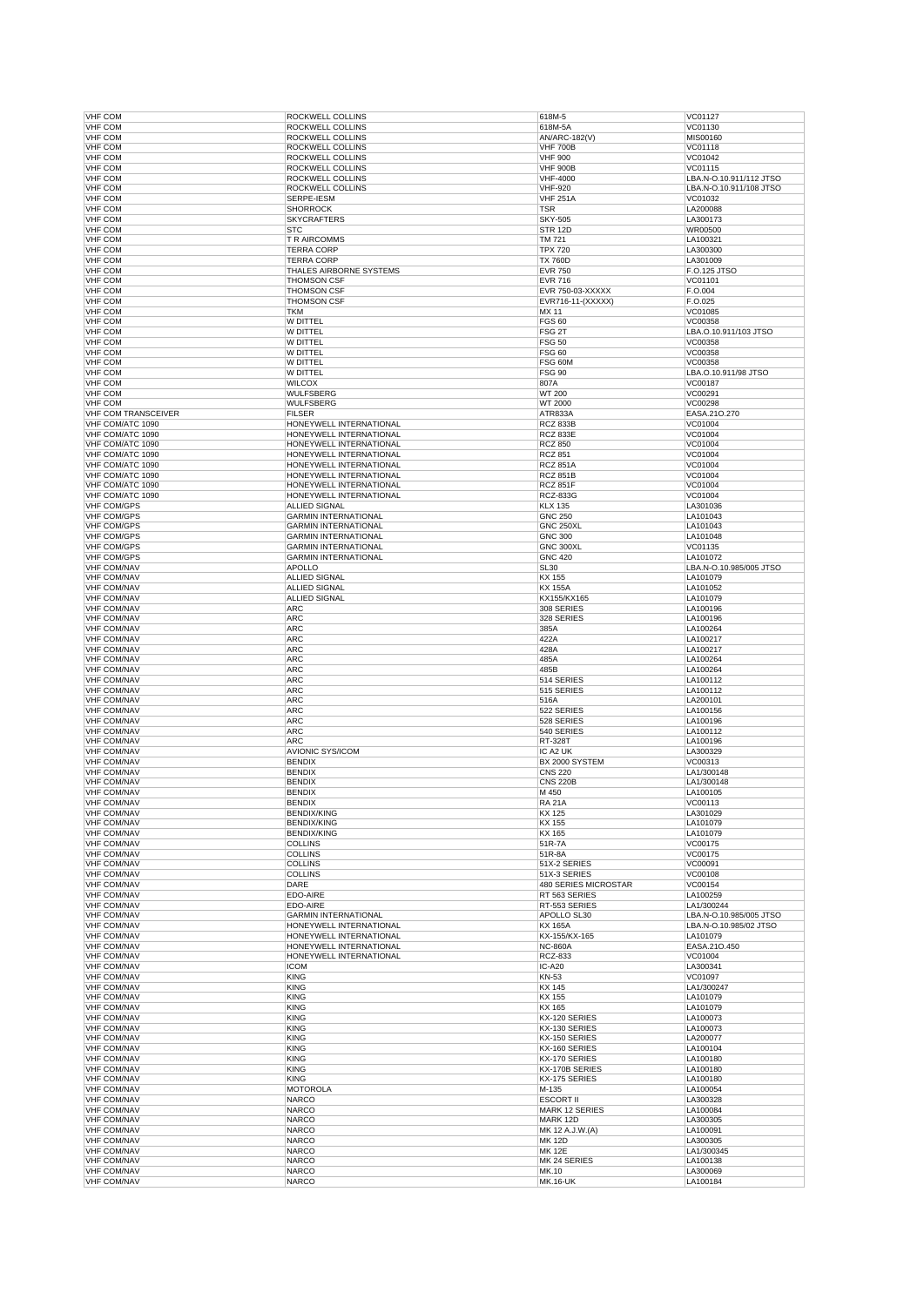| <b>VHF COM</b>                           | ROCKWELL COLLINS            | 618M-5                      | VC01127                 |
|------------------------------------------|-----------------------------|-----------------------------|-------------------------|
|                                          | ROCKWELL COLLINS            | 618M-5A                     | VC01130                 |
| <b>VHF COM</b>                           | ROCKWELL COLLINS            | AN/ARC-182(V)               | MIS00160                |
| <b>VHF COM</b>                           | ROCKWELL COLLINS            | <b>VHF 700B</b>             | VC01118                 |
| VHF COM                                  | <b>ROCKWELL COLLINS</b>     | <b>VHF 900</b>              | VC01042                 |
| <b>VHF COM</b>                           | ROCKWELL COLLINS            | <b>VHF 900B</b>             | VC01115                 |
| <b>VHF COM</b>                           | ROCKWELL COLLINS            | <b>VHF-4000</b>             | LBA.N-O.10.911/112 JTSO |
| <b>VHF COM</b>                           | ROCKWELL COLLINS            | <b>VHF-920</b>              | LBA.N-O.10.911/108 JTSO |
| <b>VHF COM</b>                           | SERPE-IESM                  | <b>VHF 251A</b>             | VC01032                 |
| <b>VHF COM</b>                           | <b>SHORROCK</b>             | <b>TSR</b>                  | LA200088                |
| <b>VHF COM</b>                           | <b>SKYCRAFTERS</b>          | <b>SKY-505</b>              | LA300173                |
| <b>VHF COM</b>                           | <b>STC</b>                  | STR 12D                     | <b>WR00500</b>          |
| <b>VHF COM</b>                           | <b>T R AIRCOMMS</b>         | TM 721                      | LA100321                |
| <b>VHF COM</b>                           | <b>TERRA CORP</b>           | <b>TPX 720</b>              | LA300300                |
| <b>VHF COM</b>                           | <b>TERRA CORP</b>           | <b>TX 760D</b>              | LA301009                |
| <b>VHF COM</b>                           | THALES AIRBORNE SYSTEMS     | <b>EVR 750</b>              | F.O.125 JTSO            |
| <b>VHF COM</b>                           | <b>THOMSON CSF</b>          | <b>EVR 716</b>              | VC01101                 |
| <b>VHF COM</b>                           | <b>THOMSON CSF</b>          | EVR 750-03-XXXXX            | F.O.004                 |
| <b>VHF COM</b>                           | <b>THOMSON CSF</b>          | EVR716-11-(XXXXX)           | F.O.025                 |
| <b>VHF COM</b>                           | <b>TKM</b>                  | MX 11                       | VC01085                 |
| <b>VHF COM</b>                           | W DITTEL                    | <b>FGS 60</b>               | VC00358                 |
| <b>VHF COM</b>                           | W DITTEL                    | FSG <sub>2T</sub>           | LBA.O.10.911/103 JTSO   |
| <b>VHF COM</b>                           | W DITTEL                    | <b>FSG 50</b>               | VC00358                 |
| <b>VHF COM</b>                           | W DITTEL                    | <b>FSG 60</b>               | VC00358                 |
| <b>VHF COM</b>                           | W DITTEL                    | FSG 60M                     | VC00358                 |
| <b>VHF COM</b>                           | W DITTEL                    | <b>FSG 90</b>               | LBA.O.10.911/98 JTSO    |
| <b>VHF COM</b>                           | <b>WILCOX</b>               | 807A                        | VC00187                 |
| <b>VHF COM</b>                           | <b>WULFSBERG</b>            | WT 200                      | VC00291                 |
| <b>VHF COM</b>                           | <b>WULFSBERG</b>            | WT 2000                     | VC00298                 |
| <b>VHF COM TRANSCEIVER</b>               | <b>FILSER</b>               | ATR833A                     | EASA.21O.270            |
| VHF COM/ATC 1090                         | HONEYWELL INTERNATIONAL     | <b>RCZ 833B</b>             | VC01004                 |
| VHF COM/ATC 1090                         | HONEYWELL INTERNATIONAL     | <b>RCZ 833E</b>             | VC01004                 |
| VHF COM/ATC 1090                         | HONEYWELL INTERNATIONAL     | <b>RCZ 850</b>              | VC01004                 |
|                                          | HONEYWELL INTERNATIONAL     |                             |                         |
| VHF COM/ATC 1090<br>VHF COM/ATC 1090     |                             | <b>RCZ 851</b>              | VC01004<br>VC01004      |
|                                          | HONEYWELL INTERNATIONAL     | <b>RCZ 851A</b>             |                         |
| VHF COM/ATC 1090                         | HONEYWELL INTERNATIONAL     | <b>RCZ 851B</b>             | VC01004                 |
| VHF COM/ATC 1090                         | HONEYWELL INTERNATIONAL     | <b>RCZ 851F</b>             | VC01004                 |
| VHF COM/ATC 1090                         | HONEYWELL INTERNATIONAL     | RCZ-833G                    | VC01004                 |
| VHF COM/GPS                              | ALLIED SIGNAL               | <b>KLX 135</b>              | LA301036                |
| <b>VHF COM/GPS</b>                       | <b>GARMIN INTERNATIONAL</b> | <b>GNC 250</b>              | LA101043                |
| <b>VHF COM/GPS</b>                       | <b>GARMIN INTERNATIONAL</b> | <b>GNC 250XL</b>            | LA101043                |
| <b>VHF COM/GPS</b>                       | <b>GARMIN INTERNATIONAL</b> | <b>GNC 300</b>              | LA101048                |
| VHF COM/GPS                              | <b>GARMIN INTERNATIONAL</b> | GNC 300XL                   | VC01135                 |
| <b>VHF COM/GPS</b>                       | <b>GARMIN INTERNATIONAL</b> | <b>GNC 420</b>              | LA101072                |
| <b>VHF COM/NAV</b>                       | <b>APOLLO</b>               | <b>SL30</b>                 | LBA.N-O.10.985/005 JTSO |
| <b>VHF COM/NAV</b>                       | ALLIED SIGNAL               | KX 155                      | LA101079                |
| <b>VHF COM/NAV</b>                       | <b>ALLIED SIGNAL</b>        | <b>KX 155A</b>              | LA101052                |
| <b>VHF COM/NAV</b>                       | ALLIED SIGNAL               | KX155/KX165                 | LA101079                |
| <b>VHF COM/NAV</b>                       | ARC                         | 308 SERIES                  | LA100196                |
| <b>VHF COM/NAV</b>                       | <b>ARC</b>                  | 328 SERIES                  | LA100196                |
| <b>VHF COM/NAV</b>                       | <b>ARC</b>                  | 385A                        | LA100264                |
| <b>VHF COM/NAV</b>                       | <b>ARC</b>                  | 422A                        | LA100217                |
| <b>VHF COM/NAV</b>                       | ARC                         | 428A                        | LA100217                |
| <b>VHF COM/NAV</b>                       | <b>ARC</b>                  | 485A                        | LA100264                |
| <b>VHF COM/NAV</b>                       | <b>ARC</b>                  | 485B                        | LA100264                |
| <b>VHF COM/NAV</b>                       | <b>ARC</b>                  | 514 SERIES                  | LA100112                |
| <b>VHF COM/NAV</b>                       | <b>ARC</b>                  | 515 SERIES                  | LA100112                |
| <b>VHF COM/NAV</b>                       | ARC                         | 516A                        | LA200101                |
| <b>VHF COM/NAV</b>                       | <b>ARC</b>                  | 522 SERIES                  | LA100156                |
| <b>VHF COM/NAV</b>                       | <b>ARC</b>                  | 528 SERIES                  | LA100196                |
|                                          | <b>ARC</b>                  | 540 SERIES                  | LA100112                |
|                                          |                             |                             |                         |
| <b>VHF COM/NAV</b>                       |                             |                             |                         |
| <b>VHF COM/NAV</b>                       | <b>ARC</b>                  | RT-328T                     | LA100196                |
| <b>VHF COM/NAV</b>                       | <b>AVIONIC SYS/ICOM</b>     | IC A2 UK                    | LA300329                |
| <b>VHF COM/NAV</b>                       | <b>BENDIX</b>               | BX 2000 SYSTEM              | VC00313                 |
| <b>VHF COM/NAV</b>                       | <b>BENDIX</b>               | <b>CNS 220</b>              | LA1/300148              |
| <b>VHF COM/NAV</b>                       | <b>BENDIX</b>               | <b>CNS 220B</b>             | LA1/300148              |
| <b>VHF COM/NAV</b>                       | <b>BENDIX</b>               | M 450                       | LA100105                |
| <b>VHF COM/NAV</b>                       | <b>BENDIX</b>               | <b>RA 21A</b>               | VC00113                 |
| <b>VHF COM/NAV</b>                       | <b>BENDIX/KING</b>          | KX 125                      | LA301029                |
| <b>VHF COM/NAV</b>                       | <b>BENDIX/KING</b>          | KX 155                      | LA101079                |
| <b>VHF COM/NAV</b>                       | <b>BENDIX/KING</b>          | KX 165                      | LA101079                |
| <b>VHF COM/NAV</b>                       | <b>COLLINS</b>              | 51R-7A                      | VC00175                 |
| <b>VHF COM/NAV</b>                       | <b>COLLINS</b>              | 51R-8A                      | VC00175                 |
| <b>VHF COM/NAV</b>                       | <b>COLLINS</b>              | 51X-2 SERIES                | VC00091                 |
| <b>VHF COM/NAV</b>                       | <b>COLLINS</b>              | 51X-3 SERIES                | VC00108                 |
| <b>VHF COM/NAV</b>                       | DARE                        | <b>480 SERIES MICROSTAR</b> | VC00154                 |
| <b>VHF COM/NAV</b>                       | EDO-AIRE                    | RT 563 SERIES               | LA100259                |
| <b>VHF COM/NAV</b>                       | EDO-AIRE                    | RT-553 SERIES               | LA1/300244              |
| <b>VHF COM/NAV</b>                       | <b>GARMIN INTERNATIONAL</b> | APOLLO SL30                 | LBA.N-O.10.985/005 JTSO |
| <b>VHF COM/NAV</b>                       | HONEYWELL INTERNATIONAL     | <b>KX 165A</b>              | LBA.N-O.10.985/02 JTSO  |
| <b>VHF COM/NAV</b>                       | HONEYWELL INTERNATIONAL     | KX-155/KX-165               | LA101079                |
| <b>VHF COM/NAV</b>                       | HONEYWELL INTERNATIONAL     | <b>NC-860A</b>              | EASA.21O.450            |
| <b>VHF COM/NAV</b>                       | HONEYWELL INTERNATIONAL     | <b>RCZ-833</b>              | VC01004                 |
| <b>VHF COM/NAV</b>                       | <b>ICOM</b>                 | IC-A20                      | LA300341                |
| <b>VHF COM/NAV</b>                       | <b>KING</b>                 | KN-53                       | VC01097                 |
| <b>VHF COM/NAV</b>                       | <b>KING</b>                 | KX 145                      | LA1/300247              |
| <b>VHF COM/NAV</b>                       | <b>KING</b>                 | KX 155                      | LA101079                |
| <b>VHF COM/NAV</b>                       | <b>KING</b>                 | KX 165                      | LA101079                |
| <b>VHF COM/NAV</b>                       | <b>KING</b>                 | KX-120 SERIES               | LA100073                |
| <b>VHF COM/NAV</b>                       | <b>KING</b>                 | KX-130 SERIES               | LA100073                |
| <b>VHF COM/NAV</b>                       | <b>KING</b>                 | KX-150 SERIES               | LA200077                |
| <b>VHF COM/NAV</b>                       | <b>KING</b>                 | KX-160 SERIES               | LA100104                |
| <b>VHF COM/NAV</b>                       | <b>KING</b>                 | KX-170 SERIES               | LA100180                |
| <b>VHF COM/NAV</b>                       | <b>KING</b>                 | KX-170B SERIES              | LA100180                |
| <b>VHF COM/NAV</b>                       | <b>KING</b>                 | KX-175 SERIES               | LA100180                |
| <b>VHF COM/NAV</b>                       | <b>MOTOROLA</b>             | M-135                       | LA100054                |
| <b>VHF COM/NAV</b>                       | <b>NARCO</b>                | <b>ESCORT II</b>            | LA300328                |
| <b>VHF COM/NAV</b>                       | <b>NARCO</b>                | MARK 12 SERIES              | LA100084                |
| <b>VHF COM/NAV</b>                       | NARCO                       | MARK 12D                    | LA300305                |
| <b>VHF COM/NAV</b>                       | <b>NARCO</b>                | MK 12 A.J.W.(A)             | LA100091                |
| <b>VHF COM/NAV</b>                       | <b>NARCO</b>                | <b>MK 12D</b>               | LA300305                |
| <b>VHF COM/NAV</b>                       | <b>NARCO</b>                | <b>MK 12E</b>               | LA1/300345              |
| <b>VHF COM/NAV</b>                       | <b>NARCO</b>                | MK 24 SERIES                | LA100138                |
| <b>VHF COM/NAV</b><br><b>VHF COM/NAV</b> | NARCO<br><b>NARCO</b>       | MK.10<br><b>MK.16-UK</b>    | LA300069<br>LA100184    |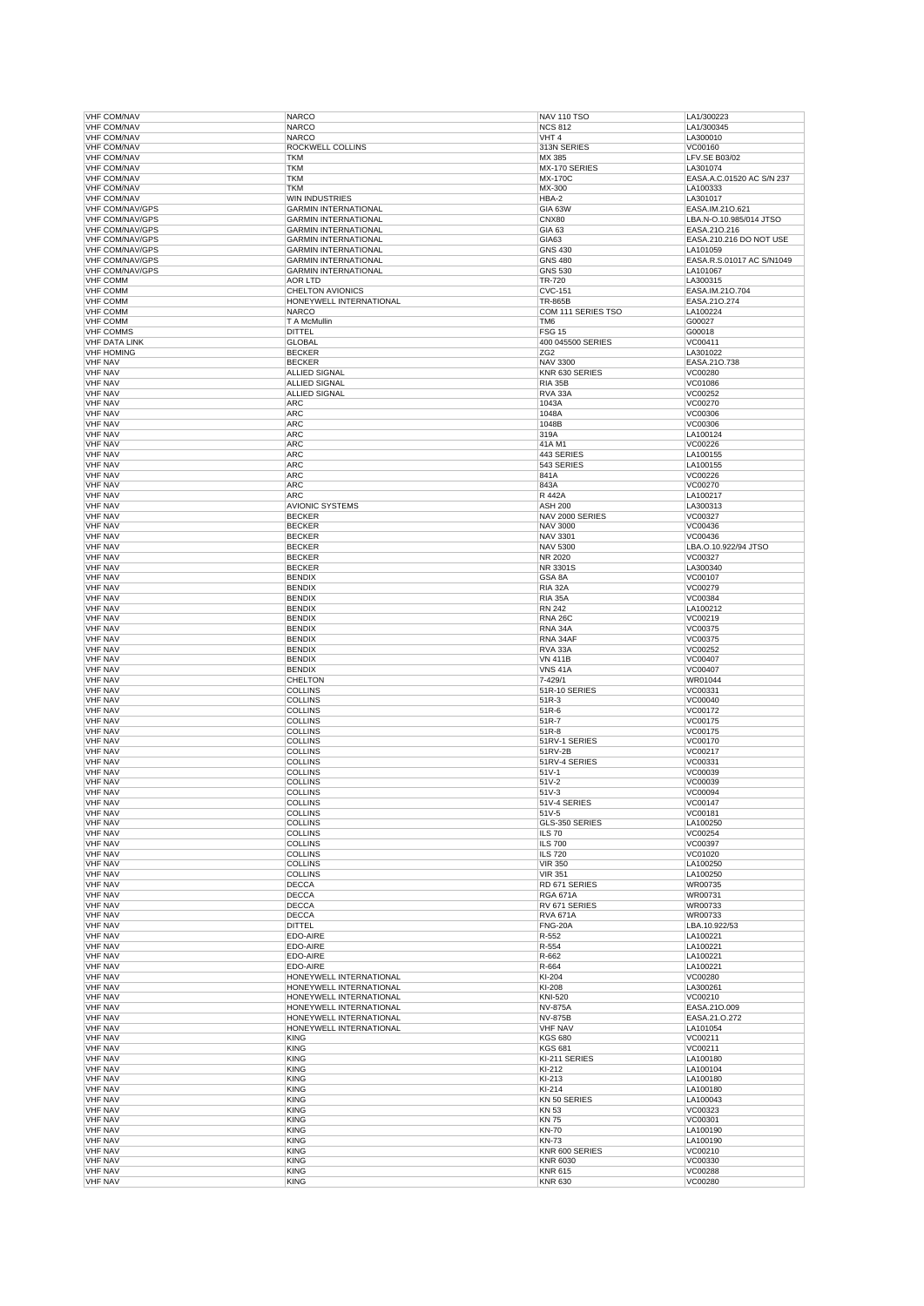| <b>VHF COM/NAV</b>               | <b>NARCO</b>                | <b>NAV 110 TSO</b>               | LA1/300223                |
|----------------------------------|-----------------------------|----------------------------------|---------------------------|
| <b>VHF COM/NAV</b>               | <b>NARCO</b>                | <b>NCS 812</b>                   | LA1/300345                |
| <b>VHF COM/NAV</b>               | <b>NARCO</b>                | VHT <sub>4</sub>                 | LA300010                  |
| <b>VHF COM/NAV</b>               | <b>ROCKWELL COLLINS</b>     | 313N SERIES                      | VC00160                   |
| <b>VHF COM/NAV</b>               | <b>TKM</b>                  | MX 385                           | LFV.SE B03/02             |
| <b>VHF COM/NAV</b>               | <b>TKM</b>                  | MX-170 SERIES                    | LA301074                  |
| <b>VHF COM/NAV</b>               | <b>TKM</b>                  | <b>MX-170C</b>                   | EASA.A.C.01520 AC S/N 237 |
| <b>VHF COM/NAV</b>               | <b>TKM</b>                  | MX-300                           |                           |
|                                  |                             |                                  | LA100333                  |
| <b>VHF COM/NAV</b>               | <b>WIN INDUSTRIES</b>       | HBA-2                            | LA301017                  |
| VHF COM/NAV/GPS                  | <b>GARMIN INTERNATIONAL</b> | <b>GIA 63W</b>                   | EASA.IM.21O.621           |
| VHF COM/NAV/GPS                  | <b>GARMIN INTERNATIONAL</b> | <b>CNX80</b>                     | LBA.N-O.10.985/014 JTSO   |
| <b>VHF COM/NAV/GPS</b>           | <b>GARMIN INTERNATIONAL</b> | GIA 63                           | EASA.210.216              |
| VHF COM/NAV/GPS                  | <b>GARMIN INTERNATIONAL</b> | GIA63                            | EASA.210.216 DO NOT USE   |
| VHF COM/NAV/GPS                  | <b>GARMIN INTERNATIONAL</b> | <b>GNS 430</b>                   | LA101059                  |
| VHF COM/NAV/GPS                  | <b>GARMIN INTERNATIONAL</b> | <b>GNS 480</b>                   | EASA.R.S.01017 AC S/N1049 |
| VHF COM/NAV/GPS                  | <b>GARMIN INTERNATIONAL</b> | GNS 530                          | LA101067                  |
| <b>VHF COMM</b>                  | <b>AOR LTD</b>              | TR-720                           | LA300315                  |
| <b>VHF COMM</b>                  | <b>CHELTON AVIONICS</b>     | <b>CVC-151</b>                   |                           |
|                                  |                             |                                  | EASA.IM.210.704           |
| <b>VHF COMM</b>                  | HONEYWELL INTERNATIONAL     | <b>TR-865B</b>                   | EASA.21O.274              |
| <b>VHF COMM</b>                  | <b>NARCO</b>                | COM 111 SERIES TSO               | LA100224                  |
| <b>VHF COMM</b>                  | T A McMullin                | TM6                              | G00027                    |
| <b>VHF COMMS</b>                 | <b>DITTEL</b>               | <b>FSG 15</b>                    | G00018                    |
| <b>VHF DATA LINK</b>             | <b>GLOBAL</b>               | 400 045500 SERIES                | VC00411                   |
| <b>VHF HOMING</b>                | <b>BECKER</b>               | ZG <sub>2</sub>                  | LA301022                  |
| <b>VHF NAV</b>                   | <b>BECKER</b>               | <b>NAV 3300</b>                  | EASA.210.738              |
| <b>VHF NAV</b>                   | <b>ALLIED SIGNAL</b>        | KNR 630 SERIES                   | VC00280                   |
| <b>VHF NAV</b>                   | <b>ALLIED SIGNAL</b>        | <b>RIA 35B</b>                   | VC01086                   |
| <b>VHF NAV</b>                   | ALLIED SIGNAL               | <b>RVA 33A</b>                   | VC00252                   |
|                                  |                             |                                  |                           |
| <b>VHF NAV</b>                   | <b>ARC</b>                  | 1043A                            | VC00270                   |
| <b>VHF NAV</b>                   | <b>ARC</b>                  | 1048A                            | VC00306                   |
| <b>VHF NAV</b>                   | ARC                         | 1048B                            | VC00306                   |
| <b>VHF NAV</b>                   | <b>ARC</b>                  | 319A                             | LA100124                  |
| <b>VHF NAV</b>                   | <b>ARC</b>                  | 41A M1                           | VC00226                   |
| <b>VHF NAV</b>                   | <b>ARC</b>                  | 443 SERIES                       | LA100155                  |
| <b>VHF NAV</b>                   | <b>ARC</b>                  | 543 SERIES                       | LA100155                  |
| <b>VHF NAV</b>                   | ARC                         | 841A                             | VC00226                   |
| <b>VHF NAV</b>                   | <b>ARC</b>                  | 843A                             | VC00270                   |
|                                  |                             |                                  |                           |
| <b>VHF NAV</b>                   | <b>ARC</b>                  | R 442A                           | LA100217                  |
| <b>VHF NAV</b>                   | <b>AVIONIC SYSTEMS</b>      | <b>ASH 200</b>                   | LA300313                  |
| <b>VHF NAV</b>                   | <b>BECKER</b>               | NAV 2000 SERIES                  | VC00327                   |
| <b>VHF NAV</b>                   | <b>BECKER</b>               | <b>NAV 3000</b>                  | VC00436                   |
| <b>VHF NAV</b>                   | <b>BECKER</b>               | <b>NAV 3301</b>                  | VC00436                   |
| <b>VHF NAV</b>                   | <b>BECKER</b>               | <b>NAV 5300</b>                  | LBA.O.10.922/94 JTSO      |
| <b>VHF NAV</b>                   | <b>BECKER</b>               | <b>NR 2020</b>                   | VC00327                   |
| <b>VHF NAV</b>                   | <b>BECKER</b>               | NR 3301S                         | LA300340                  |
| <b>VHF NAV</b>                   |                             |                                  |                           |
|                                  | <b>BENDIX</b>               | GSA 8A                           | VC00107                   |
| <b>VHF NAV</b>                   | <b>BENDIX</b>               | <b>RIA 32A</b>                   | VC00279                   |
| <b>VHF NAV</b>                   | <b>BENDIX</b>               | <b>RIA 35A</b>                   | VC00384                   |
| <b>VHF NAV</b>                   | <b>BENDIX</b>               | <b>RN 242</b>                    | LA100212                  |
| <b>VHF NAV</b>                   | <b>BENDIX</b>               | <b>RNA 26C</b>                   | VC00219                   |
| <b>VHF NAV</b>                   | <b>BENDIX</b>               | RNA 34A                          | VC00375                   |
| <b>VHF NAV</b>                   | <b>BENDIX</b>               | RNA 34AF                         | VC00375                   |
| <b>VHF NAV</b>                   | <b>BENDIX</b>               | RVA 33A                          | VC00252                   |
| <b>VHF NAV</b>                   | <b>BENDIX</b>               | <b>VN 411B</b>                   | VC00407                   |
|                                  |                             |                                  |                           |
| <b>VHF NAV</b>                   | <b>BENDIX</b>               | <b>VNS 41A</b>                   | VC00407                   |
| <b>VHF NAV</b>                   | <b>CHELTON</b>              | 7-429/1                          | WR01044                   |
| <b>VHF NAV</b>                   | <b>COLLINS</b>              | 51R-10 SERIES                    | VC00331                   |
| <b>VHF NAV</b>                   | <b>COLLINS</b>              | 51R-3                            | VC00040                   |
| <b>VHF NAV</b>                   | <b>COLLINS</b>              | 51R-6                            | VC00172                   |
| <b>VHF NAV</b>                   | <b>COLLINS</b>              | 51R-7                            | VC00175                   |
| <b>VHF NAV</b>                   | <b>COLLINS</b>              | 51R-8                            | VC00175                   |
| <b>VHF NAV</b>                   | <b>COLLINS</b>              | 51RV-1 SERIES                    | VC00170                   |
| <b>VHF NAV</b>                   | <b>COLLINS</b>              |                                  |                           |
| <b>VHF NAV</b>                   |                             | 51RV-2B                          | VC00217                   |
|                                  | <b>COLLINS</b>              | 51RV-4 SERIES                    | VC00331                   |
| <b>VHF NAV</b>                   | <b>COLLINS</b>              | $51V-1$                          | VC00039                   |
| <b>VHF NAV</b>                   | <b>COLLINS</b>              | 51V-2                            | VC00039                   |
| <b>VHF NAV</b>                   | <b>COLLINS</b>              | 51V-3                            | VC00094                   |
| <b>VHF NAV</b>                   | <b>COLLINS</b>              | 51V-4 SERIES                     | VC00147                   |
| <b>VHF NAV</b>                   | <b>COLLINS</b>              | 51V-5                            | VC00181                   |
| <b>VHF NAV</b>                   | <b>COLLINS</b>              | GLS-350 SERIES                   | LA100250                  |
| <b>VHF NAV</b>                   | <b>COLLINS</b>              | <b>ILS 70</b>                    | VC00254                   |
| <b>VHF NAV</b>                   | <b>COLLINS</b>              | <b>ILS 700</b>                   | VC00397                   |
| <b>VHF NAV</b>                   | <b>COLLINS</b>              | <b>ILS 720</b>                   | VC01020                   |
| <b>VHF NAV</b>                   | <b>COLLINS</b>              |                                  | LA100250                  |
| <b>VHF NAV</b>                   |                             |                                  |                           |
|                                  |                             | <b>VIR 350</b>                   |                           |
| <b>VHF NAV</b>                   | <b>COLLINS</b>              | <b>VIR 351</b>                   | LA100250                  |
|                                  | <b>DECCA</b>                | RD 671 SERIES                    | WR00735                   |
| <b>VHF NAV</b>                   | <b>DECCA</b>                | <b>RGA 671A</b>                  | WR00731                   |
| <b>VHF NAV</b>                   | <b>DECCA</b>                | RV 671 SERIES                    | WR00733                   |
| <b>VHF NAV</b>                   | <b>DECCA</b>                | <b>RVA 671A</b>                  | WR00733                   |
| <b>VHF NAV</b>                   | <b>DITTEL</b>               | <b>FNG-20A</b>                   | LBA.10.922/53             |
| <b>VHF NAV</b>                   | EDO-AIRE                    | R-552                            | LA100221                  |
| <b>VHF NAV</b>                   | EDO-AIRE                    | R-554                            | LA100221                  |
|                                  | EDO-AIRE                    |                                  | LA100221                  |
| <b>VHF NAV</b>                   |                             | R-662                            | LA100221                  |
| <b>VHF NAV</b>                   | EDO-AIRE                    | R-664                            |                           |
| <b>VHF NAV</b>                   | HONEYWELL INTERNATIONAL     | KI-204                           | VC00280                   |
| <b>VHF NAV</b>                   | HONEYWELL INTERNATIONAL     | KI-208                           | LA300261                  |
| <b>VHF NAV</b>                   | HONEYWELL INTERNATIONAL     | KNI-520                          | VC00210                   |
| <b>VHF NAV</b>                   | HONEYWELL INTERNATIONAL     | <b>NV-875A</b>                   | EASA.21O.009              |
| <b>VHF NAV</b>                   | HONEYWELL INTERNATIONAL     | <b>NV-875B</b>                   | EASA.21.0.272             |
| <b>VHF NAV</b>                   | HONEYWELL INTERNATIONAL     | <b>VHF NAV</b>                   | LA101054                  |
| <b>VHF NAV</b>                   | <b>KING</b>                 | <b>KGS 680</b>                   | VC00211                   |
| <b>VHF NAV</b>                   | <b>KING</b>                 | <b>KGS 681</b>                   | VC00211                   |
| <b>VHF NAV</b>                   |                             |                                  | LA100180                  |
| <b>VHF NAV</b>                   | KING<br><b>KING</b>         | KI-211 SERIES<br>KI-212          | LA100104                  |
|                                  |                             |                                  |                           |
| <b>VHF NAV</b>                   | <b>KING</b>                 | KI-213                           | LA100180                  |
| <b>VHF NAV</b>                   | <b>KING</b>                 | KI-214                           | LA100180                  |
| <b>VHF NAV</b>                   | <b>KING</b>                 | KN 50 SERIES                     | LA100043                  |
| <b>VHF NAV</b>                   | <b>KING</b>                 | KN 53                            | VC00323                   |
| <b>VHF NAV</b>                   | <b>KING</b>                 | <b>KN75</b>                      | VC00301                   |
| <b>VHF NAV</b>                   | <b>KING</b>                 | <b>KN-70</b>                     | LA100190                  |
| <b>VHF NAV</b>                   | <b>KING</b>                 | <b>KN-73</b>                     | LA100190                  |
|                                  |                             |                                  |                           |
| <b>VHF NAV</b>                   | <b>KING</b>                 | KNR 600 SERIES                   | VC00210                   |
| <b>VHF NAV</b>                   | <b>KING</b>                 | KNR 6030                         | VC00330                   |
| <b>VHF NAV</b><br><b>VHF NAV</b> | <b>KING</b><br>KING         | <b>KNR 615</b><br><b>KNR 630</b> | VC00288<br>VC00280        |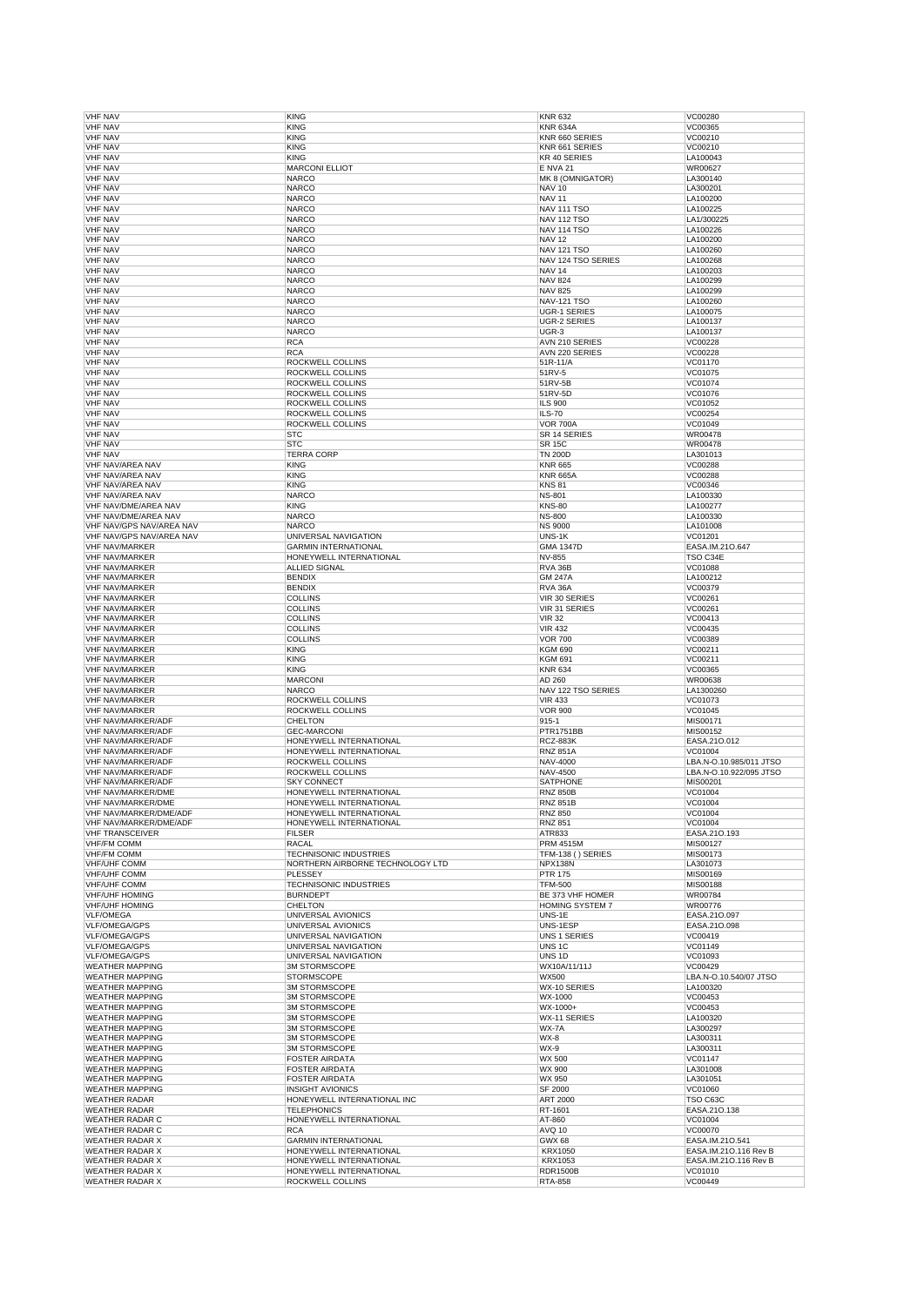| <b>VHF NAV</b>                                   |                                             | <b>KNR 632</b>                    |                         |
|--------------------------------------------------|---------------------------------------------|-----------------------------------|-------------------------|
|                                                  | <b>KING</b>                                 |                                   | VC00280                 |
| <b>VHF NAV</b>                                   | <b>KING</b>                                 | <b>KNR 634A</b>                   | VC00365                 |
| <b>VHF NAV</b>                                   | <b>KING</b>                                 | KNR 660 SERIES                    | VC00210                 |
| <b>VHF NAV</b>                                   | <b>KING</b>                                 | KNR 661 SERIES                    | VC00210                 |
| <b>VHF NAV</b>                                   | <b>KING</b>                                 | KR 40 SERIES                      | LA100043                |
| <b>VHF NAV</b>                                   | <b>MARCONI ELLIOT</b>                       | <b>E NVA 21</b>                   | WR00627                 |
|                                                  | <b>NARCO</b>                                |                                   |                         |
| <b>VHF NAV</b>                                   |                                             | MK 8 (OMNIGATOR)                  | LA300140                |
| <b>VHF NAV</b>                                   | <b>NARCO</b>                                | <b>NAV 10</b>                     | LA300201                |
| <b>VHF NAV</b>                                   | <b>NARCO</b>                                | <b>NAV 11</b>                     | LA100200                |
| <b>VHF NAV</b>                                   | <b>NARCO</b>                                | <b>NAV 111 TSO</b>                | LA100225                |
| <b>VHF NAV</b>                                   | <b>NARCO</b>                                | <b>NAV 112 TSO</b>                | LA1/300225              |
| <b>VHF NAV</b>                                   | <b>NARCO</b>                                | <b>NAV 114 TSO</b>                | LA100226                |
|                                                  |                                             |                                   |                         |
| <b>VHF NAV</b>                                   | <b>NARCO</b>                                | <b>NAV 12</b>                     | LA100200                |
| <b>VHF NAV</b>                                   | <b>NARCO</b>                                | <b>NAV 121 TSO</b>                | LA100260                |
| <b>VHF NAV</b>                                   | <b>NARCO</b>                                | NAV 124 TSO SERIES                | LA100268                |
| <b>VHF NAV</b>                                   | <b>NARCO</b>                                | <b>NAV 14</b>                     | LA100203                |
| <b>VHF NAV</b>                                   | <b>NARCO</b>                                | <b>NAV 824</b>                    | LA100299                |
| <b>VHF NAV</b>                                   | <b>NARCO</b>                                | <b>NAV 825</b>                    | LA100299                |
|                                                  |                                             |                                   |                         |
| <b>VHF NAV</b>                                   | <b>NARCO</b>                                | <b>NAV-121 TSO</b>                | LA100260                |
| <b>VHF NAV</b>                                   | <b>NARCO</b>                                | <b>UGR-1 SERIES</b>               | LA100075                |
| <b>VHF NAV</b>                                   | <b>NARCO</b>                                | <b>UGR-2 SERIES</b>               | LA100137                |
| <b>VHF NAV</b>                                   | <b>NARCO</b>                                | UGR-3                             | LA100137                |
| <b>VHF NAV</b>                                   | <b>RCA</b>                                  | AVN 210 SERIES                    | VC00228                 |
|                                                  |                                             |                                   |                         |
| <b>VHF NAV</b>                                   | <b>RCA</b>                                  | AVN 220 SERIES                    | VC00228                 |
| <b>VHF NAV</b>                                   | ROCKWELL COLLINS                            | 51R-11/A                          | VC01170                 |
| <b>VHF NAV</b>                                   | ROCKWELL COLLINS                            | 51RV-5                            | VC01075                 |
| <b>VHF NAV</b>                                   | ROCKWELL COLLINS                            | 51RV-5B                           | VC01074                 |
| <b>VHF NAV</b>                                   | ROCKWELL COLLINS                            | 51RV-5D                           | VC01076                 |
|                                                  |                                             |                                   |                         |
| <b>VHF NAV</b>                                   | ROCKWELL COLLINS                            | <b>ILS 900</b>                    | VC01052                 |
| <b>VHF NAV</b>                                   | ROCKWELL COLLINS                            | <b>ILS-70</b>                     | VC00254                 |
| <b>VHF NAV</b>                                   | ROCKWELL COLLINS                            | <b>VOR 700A</b>                   | VC01049                 |
| <b>VHF NAV</b>                                   | <b>STC</b>                                  | SR 14 SERIES                      | WR00478                 |
| <b>VHF NAV</b>                                   | <b>STC</b>                                  | <b>SR 15C</b>                     | WR00478                 |
| <b>VHF NAV</b>                                   | <b>TERRA CORP</b>                           | <b>TN 200D</b>                    | LA301013                |
|                                                  |                                             |                                   |                         |
| VHF NAV/AREA NAV                                 | <b>KING</b>                                 | <b>KNR 665</b>                    | VC00288                 |
| VHF NAV/AREA NAV                                 | <b>KING</b>                                 | <b>KNR 665A</b>                   | VC00288                 |
| VHF NAV/AREA NAV                                 | <b>KING</b>                                 | <b>KNS 81</b>                     | VC00346                 |
| VHF NAV/AREA NAV                                 | <b>NARCO</b>                                | <b>NS-801</b>                     | LA100330                |
| VHF NAV/DME/AREA NAV                             |                                             |                                   |                         |
|                                                  | <b>KING</b>                                 | <b>KNS-80</b>                     | LA100277                |
| VHF NAV/DME/AREA NAV                             | <b>NARCO</b>                                | <b>NS-800</b>                     | LA100330                |
| VHF NAV/GPS NAV/AREA NAV                         | <b>NARCO</b>                                | <b>NS 9000</b>                    | LA101008                |
| VHF NAV/GPS NAV/AREA NAV                         | UNIVERSAL NAVIGATION                        | UNS-1K                            | VC01201                 |
| <b>VHF NAV/MARKER</b>                            | <b>GARMIN INTERNATIONAL</b>                 | <b>GMA 1347D</b>                  | EASA.IM.210.647         |
|                                                  |                                             |                                   |                         |
| <b>VHF NAV/MARKER</b>                            | HONEYWELL INTERNATIONAL                     | NV-855                            | TSO C34E                |
| <b>VHF NAV/MARKER</b>                            | <b>ALLIED SIGNAL</b>                        | RVA 36B                           | VC01088                 |
| <b>VHF NAV/MARKER</b>                            | <b>BENDIX</b>                               | <b>GM 247A</b>                    | LA100212                |
| <b>VHF NAV/MARKER</b>                            | <b>BENDIX</b>                               | <b>RVA 36A</b>                    | VC00379                 |
| <b>VHF NAV/MARKER</b>                            | <b>COLLINS</b>                              | VIR 30 SERIES                     | VC00261                 |
|                                                  |                                             |                                   |                         |
| <b>VHF NAV/MARKER</b>                            | <b>COLLINS</b>                              | VIR 31 SERIES                     | VC00261                 |
| <b>VHF NAV/MARKER</b>                            | <b>COLLINS</b>                              | <b>VIR 32</b>                     | VC00413                 |
| <b>VHF NAV/MARKER</b>                            | <b>COLLINS</b>                              | <b>VIR 432</b>                    | VC00435                 |
| <b>VHF NAV/MARKER</b>                            | <b>COLLINS</b>                              | <b>VOR 700</b>                    | VC00389                 |
| <b>VHF NAV/MARKER</b>                            |                                             |                                   |                         |
|                                                  | <b>KING</b>                                 | <b>KGM 690</b>                    | VC00211                 |
| <b>VHF NAV/MARKER</b>                            | <b>KING</b>                                 | <b>KGM 691</b>                    | VC00211                 |
|                                                  |                                             |                                   |                         |
| <b>VHF NAV/MARKER</b>                            | <b>KING</b>                                 | <b>KNR 634</b>                    | VC00365                 |
|                                                  |                                             |                                   |                         |
| <b>VHF NAV/MARKER</b>                            | <b>MARCONI</b>                              | AD 260                            | WR00638                 |
| <b>VHF NAV/MARKER</b>                            | <b>NARCO</b>                                | NAV 122 TSO SERIES                | LA1300260               |
| <b>VHF NAV/MARKER</b>                            | ROCKWELL COLLINS                            | <b>VIR 433</b>                    | VC01073                 |
| <b>VHF NAV/MARKER</b>                            | ROCKWELL COLLINS                            | <b>VOR 900</b>                    | VC01045                 |
| VHF NAV/MARKER/ADF                               | <b>CHELTON</b>                              | 915-1                             | MIS00171                |
|                                                  | <b>GEC-MARCONI</b>                          | <b>PTR1751BB</b>                  | MIS00152                |
| VHF NAV/MARKER/ADF                               |                                             |                                   |                         |
| <b>VHF NAV/MARKER/ADF</b>                        | HONEYWELL INTERNATIONAL                     | <b>RCZ-883K</b>                   | EASA.21O.012            |
| <b>VHF NAV/MARKER/ADF</b>                        | HONEYWELL INTERNATIONAL                     | <b>RNZ 851A</b>                   | VC01004                 |
| VHF NAV/MARKER/ADF                               | ROCKWELL COLLINS                            | NAV-4000                          | LBA.N-O.10.985/011 JTSO |
| VHF NAV/MARKER/ADF                               | ROCKWELL COLLINS                            | NAV-4500                          | LBA.N-O.10.922/095 JTSO |
| VHF NAV/MARKER/ADF                               | <b>SKY CONNECT</b>                          |                                   |                         |
|                                                  |                                             | SATPHONE                          | MIS00201                |
| VHF NAV/MARKER/DME                               | HONEYWELL INTERNATIONAL                     | <b>RNZ 850B</b>                   | VC01004                 |
| VHF NAV/MARKER/DME                               | HONEYWELL INTERNATIONAL                     | <b>RNZ 851B</b>                   | VC01004                 |
| VHF NAV/MARKER/DME/ADF                           | HONEYWELL INTERNATIONAL                     | <b>RNZ 850</b>                    | VC01004                 |
| VHF NAV/MARKER/DME/ADF                           | HONEYWELL INTERNATIONAL                     | <b>RNZ 851</b>                    | VC01004                 |
| <b>VHF TRANSCEIVER</b>                           | <b>FILSER</b>                               | ATR833                            | EASA.21O.193            |
|                                                  | <b>RACAL</b>                                |                                   |                         |
| <b>VHF/FM COMM</b><br><b>VHF/FM COMM</b>         |                                             | <b>PRM 4515M</b>                  | MIS00127                |
|                                                  | <b>TECHNISONIC INDUSTRIES</b>               | TFM-138 () SERIES                 | MIS00173                |
| <b>VHF/UHF COMM</b>                              | NORTHERN AIRBORNE TECHNOLOGY LTD            | NPX138N                           | LA301073                |
| <b>VHF/UHF COMM</b>                              | PLESSEY                                     | <b>PTR 175</b>                    | MIS00169                |
| <b>VHF/UHF COMM</b>                              | TECHNISONIC INDUSTRIES                      | <b>TFM-500</b>                    | MIS00188                |
| <b>VHF/UHF HOMING</b>                            | <b>BURNDEPT</b>                             | BE 373 VHF HOMER                  | WR00784                 |
|                                                  | <b>CHELTON</b>                              |                                   |                         |
| <b>VHF/UHF HOMING</b>                            |                                             | HOMING SYSTEM 7                   | WR00776                 |
| <b>VLF/OMEGA</b>                                 | UNIVERSAL AVIONICS                          | UNS-1E                            | EASA.210.097            |
| <b>VLF/OMEGA/GPS</b>                             | UNIVERSAL AVIONICS                          | UNS-1ESP                          | EASA.21O.098            |
| VLF/OMEGA/GPS                                    | UNIVERSAL NAVIGATION                        | <b>UNS 1 SERIES</b>               | VC00419                 |
| VLF/OMEGA/GPS                                    | UNIVERSAL NAVIGATION                        | UNS <sub>1C</sub>                 | VC01149                 |
| <b>VLF/OMEGA/GPS</b>                             | UNIVERSAL NAVIGATION                        | UNS <sub>1D</sub>                 | VC01093                 |
|                                                  |                                             |                                   |                         |
| <b>WEATHER MAPPING</b>                           | 3M STORMSCOPE                               | WX10A/11/11J                      | VC00429                 |
| <b>WEATHER MAPPING</b>                           | <b>STORMSCOPE</b>                           | <b>WX500</b>                      | LBA.N-O.10.540/07 JTSO  |
| <b>WEATHER MAPPING</b>                           | 3M STORMSCOPE                               | WX-10 SERIES                      | LA100320                |
| <b>WEATHER MAPPING</b>                           | <b>3M STORMSCOPE</b>                        | WX-1000                           | VC00453                 |
| <b>WEATHER MAPPING</b>                           | <b>3M STORMSCOPE</b>                        | WX-1000+                          | VC00453                 |
|                                                  |                                             |                                   |                         |
| <b>WEATHER MAPPING</b>                           | <b>3M STORMSCOPE</b>                        | WX-11 SERIES                      | LA100320                |
| <b>WEATHER MAPPING</b>                           | <b>3M STORMSCOPE</b>                        | WX-7A                             | LA300297                |
| <b>WEATHER MAPPING</b>                           | 3M STORMSCOPE                               | WX-8                              | LA300311                |
| <b>WEATHER MAPPING</b>                           | <b>3M STORMSCOPE</b>                        | WX-9                              | LA300311                |
| <b>WEATHER MAPPING</b>                           | <b>FOSTER AIRDATA</b>                       | WX 500                            | VC01147                 |
|                                                  |                                             |                                   |                         |
| <b>WEATHER MAPPING</b>                           | <b>FOSTER AIRDATA</b>                       | WX 900                            | LA301008                |
| <b>WEATHER MAPPING</b>                           | <b>FOSTER AIRDATA</b>                       | WX 950                            | LA301051                |
| <b>WEATHER MAPPING</b>                           | <b>INSIGHT AVIONICS</b>                     | SF 2000                           | VC01060                 |
| <b>WEATHER RADAR</b>                             | HONEYWELL INTERNATIONAL INC                 | ART 2000                          | TSO C63C                |
|                                                  |                                             |                                   |                         |
| <b>WEATHER RADAR</b>                             | <b>TELEPHONICS</b>                          | RT-1601                           | EASA.21O.138            |
| <b>WEATHER RADAR C</b>                           | HONEYWELL INTERNATIONAL                     | AT-860                            | VC01004                 |
| <b>WEATHER RADAR C</b>                           | <b>RCA</b>                                  | AVQ 10                            | VC00070                 |
| <b>WEATHER RADAR X</b>                           | <b>GARMIN INTERNATIONAL</b>                 | <b>GWX 68</b>                     | EASA.IM.210.541         |
| <b>WEATHER RADAR X</b>                           | HONEYWELL INTERNATIONAL                     | <b>KRX1050</b>                    | EASA.IM.210.116 Rev B   |
|                                                  |                                             |                                   |                         |
| <b>WEATHER RADAR X</b>                           | HONEYWELL INTERNATIONAL                     | <b>KRX1053</b>                    | EASA.IM.21O.116 Rev B   |
| <b>WEATHER RADAR X</b><br><b>WEATHER RADAR X</b> | HONEYWELL INTERNATIONAL<br>ROCKWELL COLLINS | <b>RDR1500B</b><br><b>RTA-858</b> | VC01010<br>VC00449      |